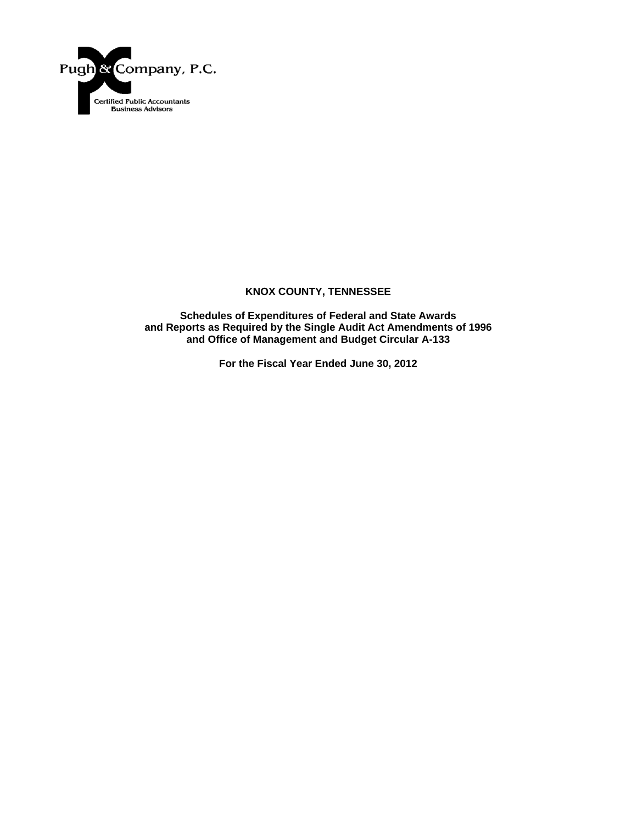

**Schedules of Expenditures of Federal and State Awards and Reports as Required by the Single Audit Act Amendments of 1996 and Office of Management and Budget Circular A-133** 

**For the Fiscal Year Ended June 30, 2012**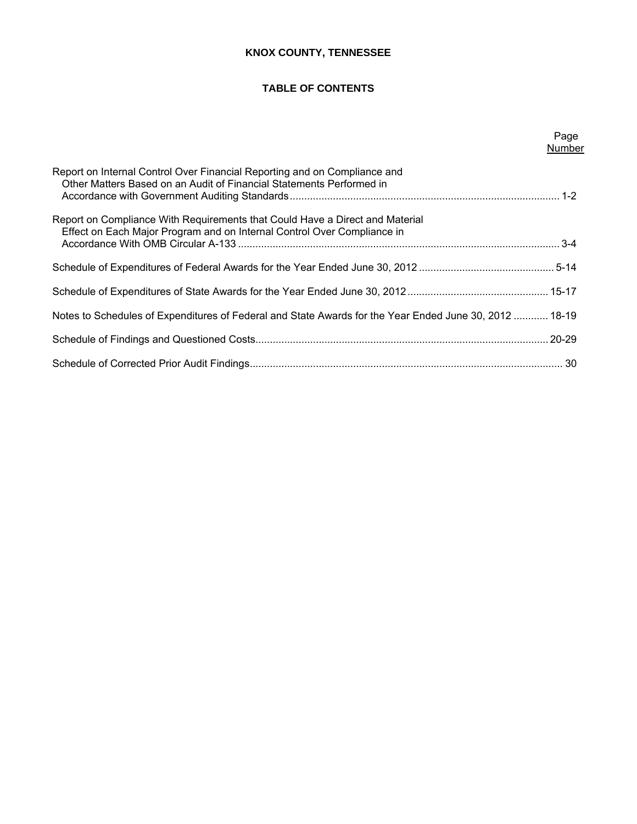# **TABLE OF CONTENTS**

| Page   |
|--------|
| Number |

| Report on Internal Control Over Financial Reporting and on Compliance and<br>Other Matters Based on an Audit of Financial Statements Performed in       |  |
|---------------------------------------------------------------------------------------------------------------------------------------------------------|--|
| Report on Compliance With Requirements that Could Have a Direct and Material<br>Effect on Each Major Program and on Internal Control Over Compliance in |  |
|                                                                                                                                                         |  |
|                                                                                                                                                         |  |
| Notes to Schedules of Expenditures of Federal and State Awards for the Year Ended June 30, 2012  18-19                                                  |  |
|                                                                                                                                                         |  |
|                                                                                                                                                         |  |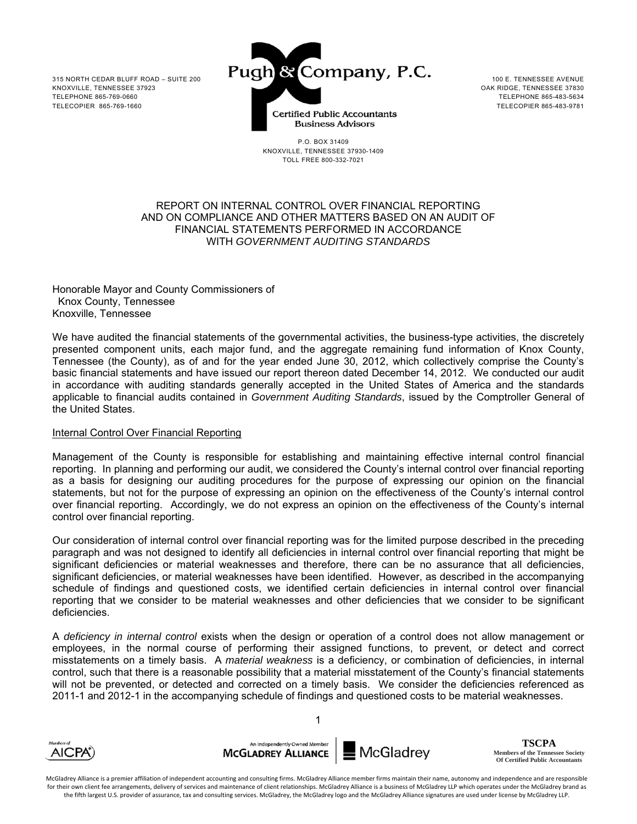

TELEPHONE 865-483-5634

P.O. BOX 31409 KNOXVILLE, TENNESSEE 37930-1409 TOLL FREE 800-332-7021

## REPORT ON INTERNAL CONTROL OVER FINANCIAL REPORTING AND ON COMPLIANCE AND OTHER MATTERS BASED ON AN AUDIT OF FINANCIAL STATEMENTS PERFORMED IN ACCORDANCE WITH *GOVERNMENT AUDITING STANDARDS*

Honorable Mayor and County Commissioners of Knox County, Tennessee Knoxville, Tennessee

We have audited the financial statements of the governmental activities, the business-type activities, the discretely presented component units, each major fund, and the aggregate remaining fund information of Knox County, Tennessee (the County), as of and for the year ended June 30, 2012, which collectively comprise the County's basic financial statements and have issued our report thereon dated December 14, 2012. We conducted our audit in accordance with auditing standards generally accepted in the United States of America and the standards applicable to financial audits contained in *Government Auditing Standards*, issued by the Comptroller General of the United States.

## Internal Control Over Financial Reporting

Management of the County is responsible for establishing and maintaining effective internal control financial reporting. In planning and performing our audit, we considered the County's internal control over financial reporting as a basis for designing our auditing procedures for the purpose of expressing our opinion on the financial statements, but not for the purpose of expressing an opinion on the effectiveness of the County's internal control over financial reporting. Accordingly, we do not express an opinion on the effectiveness of the County's internal control over financial reporting.

Our consideration of internal control over financial reporting was for the limited purpose described in the preceding paragraph and was not designed to identify all deficiencies in internal control over financial reporting that might be significant deficiencies or material weaknesses and therefore, there can be no assurance that all deficiencies, significant deficiencies, or material weaknesses have been identified. However, as described in the accompanying schedule of findings and questioned costs, we identified certain deficiencies in internal control over financial reporting that we consider to be material weaknesses and other deficiencies that we consider to be significant deficiencies.

A *deficiency in internal control* exists when the design or operation of a control does not allow management or employees, in the normal course of performing their assigned functions, to prevent, or detect and correct misstatements on a timely basis. A *material weakness* is a deficiency, or combination of deficiencies, in internal control, such that there is a reasonable possibility that a material misstatement of the County's financial statements will not be prevented, or detected and corrected on a timely basis. We consider the deficiencies referenced as 2011-1 and 2012-1 in the accompanying schedule of findings and questioned costs to be material weaknesses.

1



An Independently Owned Membe **MCGLADREY ALLIANCE** 

McGladrey

**TSCPA Members of the Tennessee Society Of Certified Public Accountants**

McGladrey Alliance is a premier affiliation of independent accounting and consulting firms. McGladrey Alliance member firms maintain their name, autonomy and independence and are responsible for their own client fee arrangements, delivery of services and maintenance of client relationships. McGladrey Alliance is a business of McGladrey LLP which operates under the McGladrey brand as the fifth largest U.S. provider of assurance, tax and consulting services. McGladrey, the McGladrey logo and the McGladrey Alliance signatures are used under license by McGladrey LLP.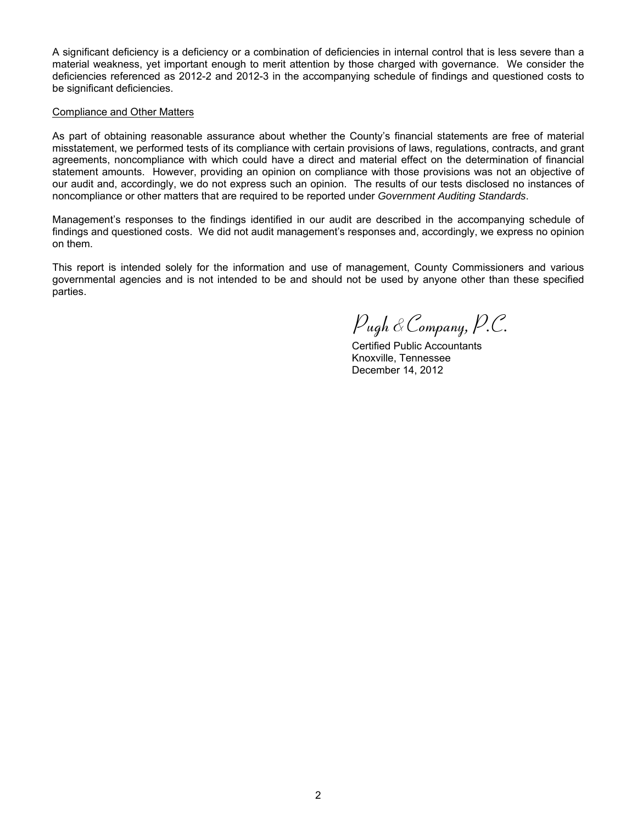A significant deficiency is a deficiency or a combination of deficiencies in internal control that is less severe than a material weakness, yet important enough to merit attention by those charged with governance. We consider the deficiencies referenced as 2012-2 and 2012-3 in the accompanying schedule of findings and questioned costs to be significant deficiencies.

#### Compliance and Other Matters

As part of obtaining reasonable assurance about whether the County's financial statements are free of material misstatement, we performed tests of its compliance with certain provisions of laws, regulations, contracts, and grant agreements, noncompliance with which could have a direct and material effect on the determination of financial statement amounts. However, providing an opinion on compliance with those provisions was not an objective of our audit and, accordingly, we do not express such an opinion. The results of our tests disclosed no instances of noncompliance or other matters that are required to be reported under *Government Auditing Standards*.

Management's responses to the findings identified in our audit are described in the accompanying schedule of findings and questioned costs. We did not audit management's responses and, accordingly, we express no opinion on them.

This report is intended solely for the information and use of management, County Commissioners and various governmental agencies and is not intended to be and should not be used by anyone other than these specified parties.

 *Pugh* &*Company, P.C.*

 Certified Public Accountants Knoxville, Tennessee December 14, 2012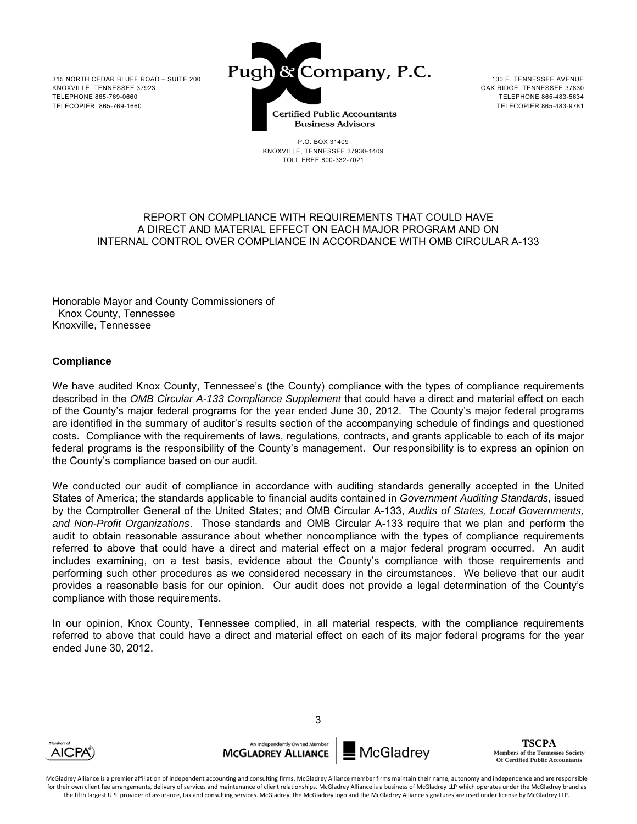

P.O. BOX 31409 KNOXVILLE, TENNESSEE 37930-1409 TOLL FREE 800-332-7021

TELEPHONE 865-483-5634

#### REPORT ON COMPLIANCE WITH REQUIREMENTS THAT COULD HAVE A DIRECT AND MATERIAL EFFECT ON EACH MAJOR PROGRAM AND ON INTERNAL CONTROL OVER COMPLIANCE IN ACCORDANCE WITH OMB CIRCULAR A-133

Honorable Mayor and County Commissioners of Knox County, Tennessee Knoxville, Tennessee

## **Compliance**

We have audited Knox County, Tennessee's (the County) compliance with the types of compliance requirements described in the *OMB Circular A-133 Compliance Supplement* that could have a direct and material effect on each of the County's major federal programs for the year ended June 30, 2012. The County's major federal programs are identified in the summary of auditor's results section of the accompanying schedule of findings and questioned costs. Compliance with the requirements of laws, regulations, contracts, and grants applicable to each of its major federal programs is the responsibility of the County's management. Our responsibility is to express an opinion on the County's compliance based on our audit.

We conducted our audit of compliance in accordance with auditing standards generally accepted in the United States of America; the standards applicable to financial audits contained in *Government Auditing Standards*, issued by the Comptroller General of the United States; and OMB Circular A-133, *Audits of States, Local Governments, and Non-Profit Organizations*. Those standards and OMB Circular A-133 require that we plan and perform the audit to obtain reasonable assurance about whether noncompliance with the types of compliance requirements referred to above that could have a direct and material effect on a major federal program occurred. An audit includes examining, on a test basis, evidence about the County's compliance with those requirements and performing such other procedures as we considered necessary in the circumstances. We believe that our audit provides a reasonable basis for our opinion. Our audit does not provide a legal determination of the County's compliance with those requirements.

In our opinion, Knox County, Tennessee complied, in all material respects, with the compliance requirements referred to above that could have a direct and material effect on each of its major federal programs for the year ended June 30, 2012.



An Independently Owned Membe **MCGLADREY ALLIANCE** 

**McGladrey** 

**TSCPA Members of the Tennessee Society Of Certified Public Accountants**

McGladrey Alliance is a premier affiliation of independent accounting and consulting firms. McGladrey Alliance member firms maintain their name, autonomy and independence and are responsible for their own client fee arrangements, delivery of services and maintenance of client relationships. McGladrey Alliance is a business of McGladrey LLP which operates under the McGladrey brand as the fifth largest U.S. provider of assurance, tax and consulting services. McGladrey, the McGladrey logo and the McGladrey Alliance signatures are used under license by McGladrey LLP.

3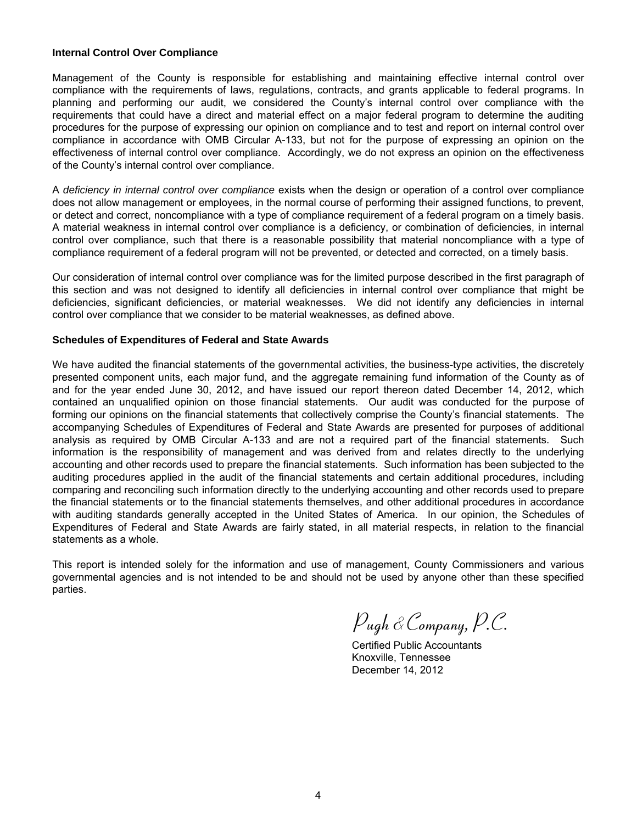#### **Internal Control Over Compliance**

Management of the County is responsible for establishing and maintaining effective internal control over compliance with the requirements of laws, regulations, contracts, and grants applicable to federal programs. In planning and performing our audit, we considered the County's internal control over compliance with the requirements that could have a direct and material effect on a major federal program to determine the auditing procedures for the purpose of expressing our opinion on compliance and to test and report on internal control over compliance in accordance with OMB Circular A-133, but not for the purpose of expressing an opinion on the effectiveness of internal control over compliance. Accordingly, we do not express an opinion on the effectiveness of the County's internal control over compliance.

A *deficiency in internal control over compliance* exists when the design or operation of a control over compliance does not allow management or employees, in the normal course of performing their assigned functions, to prevent, or detect and correct, noncompliance with a type of compliance requirement of a federal program on a timely basis. A material weakness in internal control over compliance is a deficiency, or combination of deficiencies, in internal control over compliance, such that there is a reasonable possibility that material noncompliance with a type of compliance requirement of a federal program will not be prevented, or detected and corrected, on a timely basis.

Our consideration of internal control over compliance was for the limited purpose described in the first paragraph of this section and was not designed to identify all deficiencies in internal control over compliance that might be deficiencies, significant deficiencies, or material weaknesses. We did not identify any deficiencies in internal control over compliance that we consider to be material weaknesses, as defined above.

#### **Schedules of Expenditures of Federal and State Awards**

We have audited the financial statements of the governmental activities, the business-type activities, the discretely presented component units, each major fund, and the aggregate remaining fund information of the County as of and for the year ended June 30, 2012, and have issued our report thereon dated December 14, 2012, which contained an unqualified opinion on those financial statements. Our audit was conducted for the purpose of forming our opinions on the financial statements that collectively comprise the County's financial statements. The accompanying Schedules of Expenditures of Federal and State Awards are presented for purposes of additional analysis as required by OMB Circular A-133 and are not a required part of the financial statements. Such information is the responsibility of management and was derived from and relates directly to the underlying accounting and other records used to prepare the financial statements. Such information has been subjected to the auditing procedures applied in the audit of the financial statements and certain additional procedures, including comparing and reconciling such information directly to the underlying accounting and other records used to prepare the financial statements or to the financial statements themselves, and other additional procedures in accordance with auditing standards generally accepted in the United States of America. In our opinion, the Schedules of Expenditures of Federal and State Awards are fairly stated, in all material respects, in relation to the financial statements as a whole.

This report is intended solely for the information and use of management, County Commissioners and various governmental agencies and is not intended to be and should not be used by anyone other than these specified parties.

 *Pugh* &*Company, P.C.*

 Certified Public Accountants Knoxville, Tennessee December 14, 2012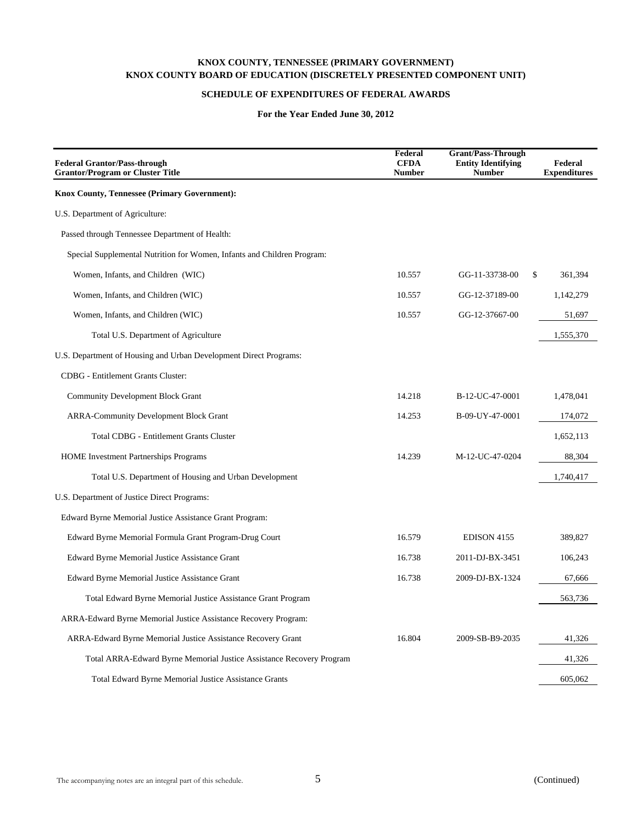## **SCHEDULE OF EXPENDITURES OF FEDERAL AWARDS**

| <b>Federal Grantor/Pass-through</b><br><b>Grantor/Program or Cluster Title</b> | Federal<br><b>CFDA</b><br><b>Number</b> | <b>Grant/Pass-Through</b><br><b>Entity Identifying</b><br><b>Number</b> | Federal<br><b>Expenditures</b> |
|--------------------------------------------------------------------------------|-----------------------------------------|-------------------------------------------------------------------------|--------------------------------|
| Knox County, Tennessee (Primary Government):                                   |                                         |                                                                         |                                |
| U.S. Department of Agriculture:                                                |                                         |                                                                         |                                |
| Passed through Tennessee Department of Health:                                 |                                         |                                                                         |                                |
| Special Supplemental Nutrition for Women, Infants and Children Program:        |                                         |                                                                         |                                |
| Women, Infants, and Children (WIC)                                             | 10.557                                  | GG-11-33738-00                                                          | \$<br>361,394                  |
| Women, Infants, and Children (WIC)                                             | 10.557                                  | GG-12-37189-00                                                          | 1,142,279                      |
| Women, Infants, and Children (WIC)                                             | 10.557                                  | GG-12-37667-00                                                          | 51,697                         |
| Total U.S. Department of Agriculture                                           |                                         |                                                                         | 1,555,370                      |
| U.S. Department of Housing and Urban Development Direct Programs:              |                                         |                                                                         |                                |
| <b>CDBG</b> - Entitlement Grants Cluster:                                      |                                         |                                                                         |                                |
| <b>Community Development Block Grant</b>                                       | 14.218                                  | B-12-UC-47-0001                                                         | 1,478,041                      |
| <b>ARRA-Community Development Block Grant</b>                                  | 14.253                                  | B-09-UY-47-0001                                                         | 174,072                        |
| <b>Total CDBG - Entitlement Grants Cluster</b>                                 |                                         |                                                                         | 1,652,113                      |
| <b>HOME</b> Investment Partnerships Programs                                   | 14.239                                  | M-12-UC-47-0204                                                         | 88,304                         |
| Total U.S. Department of Housing and Urban Development                         |                                         |                                                                         | 1,740,417                      |
| U.S. Department of Justice Direct Programs:                                    |                                         |                                                                         |                                |
| Edward Byrne Memorial Justice Assistance Grant Program:                        |                                         |                                                                         |                                |
| Edward Byrne Memorial Formula Grant Program-Drug Court                         | 16.579                                  | EDISON 4155                                                             | 389,827                        |
| Edward Byrne Memorial Justice Assistance Grant                                 | 16.738                                  | 2011-DJ-BX-3451                                                         | 106,243                        |
| Edward Byrne Memorial Justice Assistance Grant                                 | 16.738                                  | 2009-DJ-BX-1324                                                         | 67,666                         |
| Total Edward Byrne Memorial Justice Assistance Grant Program                   |                                         |                                                                         | 563,736                        |
| ARRA-Edward Byrne Memorial Justice Assistance Recovery Program:                |                                         |                                                                         |                                |
| ARRA-Edward Byrne Memorial Justice Assistance Recovery Grant                   | 16.804                                  | 2009-SB-B9-2035                                                         | 41,326                         |
| Total ARRA-Edward Byrne Memorial Justice Assistance Recovery Program           |                                         |                                                                         | 41,326                         |
| Total Edward Byrne Memorial Justice Assistance Grants                          |                                         |                                                                         | 605,062                        |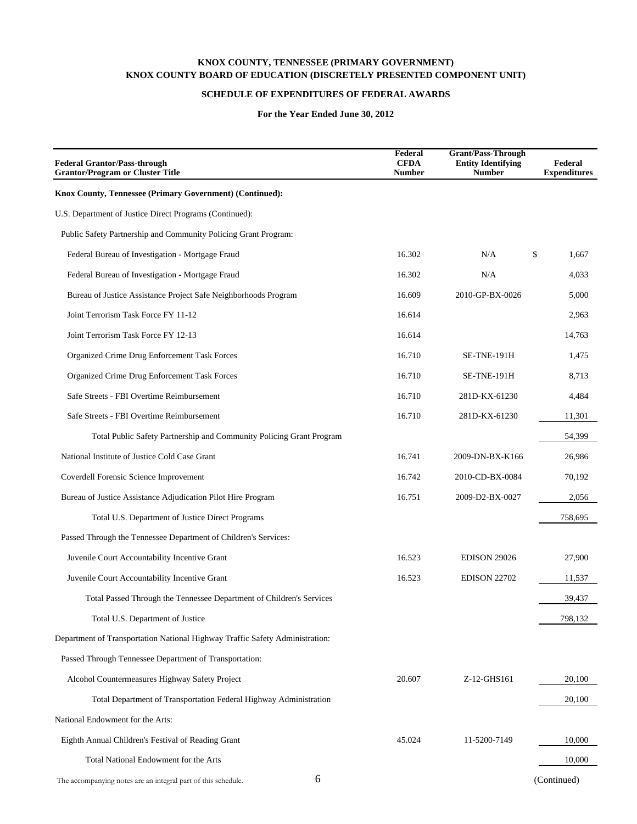## **SCHEDULE OF EXPENDITURES OF FEDERAL AWARDS**

| <b>Federal Grantor/Pass-through</b><br><b>Grantor/Program or Cluster Title</b> | Federal<br><b>CFDA</b><br><b>Number</b> | <b>Grant/Pass-Through</b><br><b>Entity Identifying</b><br><b>Number</b> | Federal<br><b>Expenditures</b> |
|--------------------------------------------------------------------------------|-----------------------------------------|-------------------------------------------------------------------------|--------------------------------|
| Knox County, Tennessee (Primary Government) (Continued):                       |                                         |                                                                         |                                |
| U.S. Department of Justice Direct Programs (Continued):                        |                                         |                                                                         |                                |
| Public Safety Partnership and Community Policing Grant Program:                |                                         |                                                                         |                                |
| Federal Bureau of Investigation - Mortgage Fraud                               | 16.302                                  | N/A                                                                     | \$<br>1,667                    |
| Federal Bureau of Investigation - Mortgage Fraud                               | 16.302                                  | N/A                                                                     | 4,033                          |
| Bureau of Justice Assistance Project Safe Neighborhoods Program                | 16.609                                  | 2010-GP-BX-0026                                                         | 5,000                          |
| Joint Terrorism Task Force FY 11-12                                            | 16.614                                  |                                                                         | 2,963                          |
| Joint Terrorism Task Force FY 12-13                                            | 16.614                                  |                                                                         | 14,763                         |
| Organized Crime Drug Enforcement Task Forces                                   | 16.710                                  | SE-TNE-191H                                                             | 1,475                          |
| Organized Crime Drug Enforcement Task Forces                                   | 16.710                                  | SE-TNE-191H                                                             | 8,713                          |
| Safe Streets - FBI Overtime Reimbursement                                      | 16.710                                  | 281D-KX-61230                                                           | 4,484                          |
| Safe Streets - FBI Overtime Reimbursement                                      | 16.710                                  | 281D-KX-61230                                                           | 11,301                         |
| Total Public Safety Partnership and Community Policing Grant Program           |                                         |                                                                         | 54,399                         |
| National Institute of Justice Cold Case Grant                                  | 16.741                                  | 2009-DN-BX-K166                                                         | 26,986                         |
| Coverdell Forensic Science Improvement                                         | 16.742                                  | 2010-CD-BX-0084                                                         | 70,192                         |
| Bureau of Justice Assistance Adjudication Pilot Hire Program                   | 16.751                                  | 2009-D2-BX-0027                                                         | 2,056                          |
| Total U.S. Department of Justice Direct Programs                               |                                         |                                                                         | 758,695                        |
| Passed Through the Tennessee Department of Children's Services:                |                                         |                                                                         |                                |
| Juvenile Court Accountability Incentive Grant                                  | 16.523                                  | <b>EDISON 29026</b>                                                     | 27,900                         |
| Juvenile Court Accountability Incentive Grant                                  | 16.523                                  | <b>EDISON 22702</b>                                                     | 11,537                         |
| Total Passed Through the Tennessee Department of Children's Services           |                                         |                                                                         | 39,437                         |
| Total U.S. Department of Justice                                               |                                         |                                                                         | 798,132                        |
| Department of Transportation National Highway Traffic Safety Administration:   |                                         |                                                                         |                                |
| Passed Through Tennessee Department of Transportation:                         |                                         |                                                                         |                                |
| Alcohol Countermeasures Highway Safety Project                                 | 20.607                                  | Z-12-GHS161                                                             | 20,100                         |
| Total Department of Transportation Federal Highway Administration              |                                         |                                                                         | 20,100                         |
| National Endowment for the Arts:                                               |                                         |                                                                         |                                |
| Eighth Annual Children's Festival of Reading Grant                             | 45.024                                  | 11-5200-7149                                                            | 10,000                         |
| Total National Endowment for the Arts                                          |                                         |                                                                         | 10,000                         |
| 6<br>The accompanying notes are an integral part of this schedule.             |                                         |                                                                         | (Continued)                    |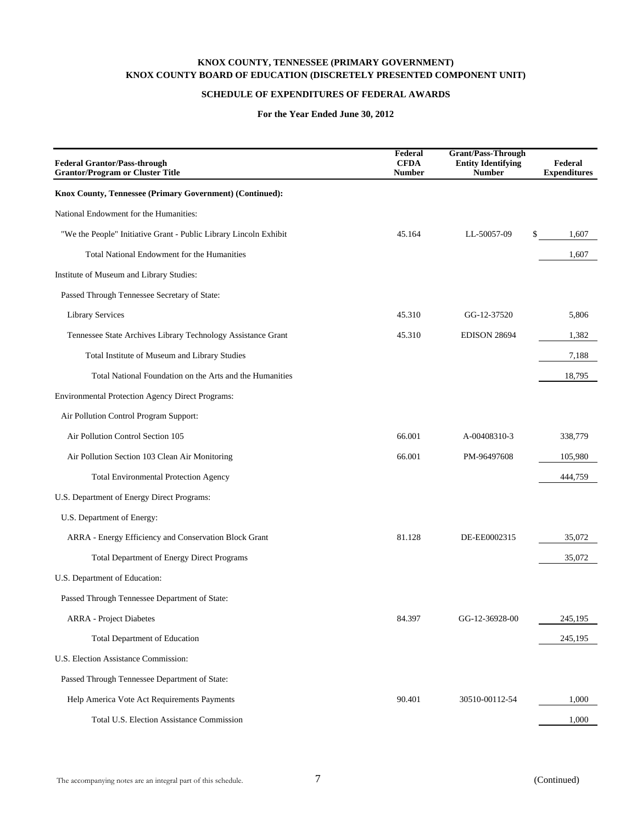## **SCHEDULE OF EXPENDITURES OF FEDERAL AWARDS**

| <b>Federal Grantor/Pass-through</b><br><b>Grantor/Program or Cluster Title</b> | Federal<br><b>CFDA</b><br><b>Number</b> | <b>Grant/Pass-Through</b><br><b>Entity Identifying</b><br><b>Number</b> | Federal<br><b>Expenditures</b> |
|--------------------------------------------------------------------------------|-----------------------------------------|-------------------------------------------------------------------------|--------------------------------|
| Knox County, Tennessee (Primary Government) (Continued):                       |                                         |                                                                         |                                |
| National Endowment for the Humanities:                                         |                                         |                                                                         |                                |
| "We the People" Initiative Grant - Public Library Lincoln Exhibit              | 45.164                                  | LL-50057-09                                                             | \$<br>1,607                    |
| Total National Endowment for the Humanities                                    |                                         |                                                                         | 1,607                          |
| Institute of Museum and Library Studies:                                       |                                         |                                                                         |                                |
| Passed Through Tennessee Secretary of State:                                   |                                         |                                                                         |                                |
| <b>Library Services</b>                                                        | 45.310                                  | GG-12-37520                                                             | 5,806                          |
| Tennessee State Archives Library Technology Assistance Grant                   | 45.310                                  | <b>EDISON 28694</b>                                                     | 1,382                          |
| Total Institute of Museum and Library Studies                                  |                                         |                                                                         | 7,188                          |
| Total National Foundation on the Arts and the Humanities                       |                                         |                                                                         | 18,795                         |
| <b>Environmental Protection Agency Direct Programs:</b>                        |                                         |                                                                         |                                |
| Air Pollution Control Program Support:                                         |                                         |                                                                         |                                |
| Air Pollution Control Section 105                                              | 66.001                                  | A-00408310-3                                                            | 338,779                        |
| Air Pollution Section 103 Clean Air Monitoring                                 | 66.001                                  | PM-96497608                                                             | 105,980                        |
| <b>Total Environmental Protection Agency</b>                                   |                                         |                                                                         | 444,759                        |
| U.S. Department of Energy Direct Programs:                                     |                                         |                                                                         |                                |
| U.S. Department of Energy:                                                     |                                         |                                                                         |                                |
| ARRA - Energy Efficiency and Conservation Block Grant                          | 81.128                                  | DE-EE0002315                                                            | 35,072                         |
| <b>Total Department of Energy Direct Programs</b>                              |                                         |                                                                         | 35,072                         |
| U.S. Department of Education:                                                  |                                         |                                                                         |                                |
| Passed Through Tennessee Department of State:                                  |                                         |                                                                         |                                |
| <b>ARRA</b> - Project Diabetes                                                 | 84.397                                  | GG-12-36928-00                                                          | 245,195                        |
| <b>Total Department of Education</b>                                           |                                         |                                                                         | 245,195                        |
| U.S. Election Assistance Commission:                                           |                                         |                                                                         |                                |
| Passed Through Tennessee Department of State:                                  |                                         |                                                                         |                                |
| Help America Vote Act Requirements Payments                                    | 90.401                                  | 30510-00112-54                                                          | 1,000                          |
| Total U.S. Election Assistance Commission                                      |                                         |                                                                         | 1,000                          |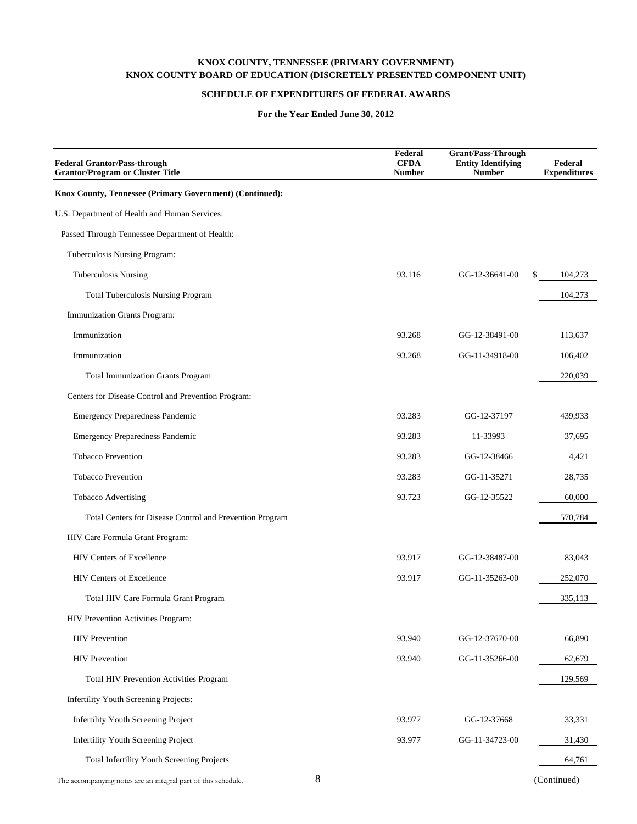## **SCHEDULE OF EXPENDITURES OF FEDERAL AWARDS**

| <b>Federal Grantor/Pass-through</b><br><b>Grantor/Program or Cluster Title</b> | Federal<br><b>CFDA</b><br><b>Number</b> | <b>Grant/Pass-Through</b><br><b>Entity Identifying</b><br><b>Number</b> | Federal<br><b>Expenditures</b> |
|--------------------------------------------------------------------------------|-----------------------------------------|-------------------------------------------------------------------------|--------------------------------|
| Knox County, Tennessee (Primary Government) (Continued):                       |                                         |                                                                         |                                |
| U.S. Department of Health and Human Services:                                  |                                         |                                                                         |                                |
| Passed Through Tennessee Department of Health:                                 |                                         |                                                                         |                                |
| Tuberculosis Nursing Program:                                                  |                                         |                                                                         |                                |
| <b>Tuberculosis Nursing</b>                                                    | 93.116                                  | GG-12-36641-00                                                          | \$<br>104,273                  |
| Total Tuberculosis Nursing Program                                             |                                         |                                                                         | 104,273                        |
| Immunization Grants Program:                                                   |                                         |                                                                         |                                |
| Immunization                                                                   | 93.268                                  | GG-12-38491-00                                                          | 113,637                        |
| Immunization                                                                   | 93.268                                  | GG-11-34918-00                                                          | 106,402                        |
| <b>Total Immunization Grants Program</b>                                       |                                         |                                                                         | 220,039                        |
| Centers for Disease Control and Prevention Program:                            |                                         |                                                                         |                                |
| <b>Emergency Preparedness Pandemic</b>                                         | 93.283                                  | GG-12-37197                                                             | 439,933                        |
| <b>Emergency Preparedness Pandemic</b>                                         | 93.283                                  | 11-33993                                                                | 37.695                         |
| <b>Tobacco Prevention</b>                                                      | 93.283                                  | GG-12-38466                                                             | 4,421                          |
| <b>Tobacco Prevention</b>                                                      | 93.283                                  | GG-11-35271                                                             | 28,735                         |
| <b>Tobacco Advertising</b>                                                     | 93.723                                  | GG-12-35522                                                             | 60,000                         |
| Total Centers for Disease Control and Prevention Program                       |                                         |                                                                         | 570,784                        |
| HIV Care Formula Grant Program:                                                |                                         |                                                                         |                                |
| HIV Centers of Excellence                                                      | 93.917                                  | GG-12-38487-00                                                          | 83,043                         |
| <b>HIV Centers of Excellence</b>                                               | 93.917                                  | GG-11-35263-00                                                          | 252,070                        |
| Total HIV Care Formula Grant Program                                           |                                         |                                                                         | 335,113                        |
| HIV Prevention Activities Program:                                             |                                         |                                                                         |                                |
| <b>HIV</b> Prevention                                                          | 93.940                                  | GG-12-37670-00                                                          | 66,890                         |
| <b>HIV</b> Prevention                                                          | 93.940                                  | GG-11-35266-00                                                          | 62,679                         |
| Total HIV Prevention Activities Program                                        |                                         |                                                                         | 129,569                        |
| Infertility Youth Screening Projects:                                          |                                         |                                                                         |                                |
| Infertility Youth Screening Project                                            | 93.977                                  | GG-12-37668                                                             | 33,331                         |
| Infertility Youth Screening Project                                            | 93.977                                  | GG-11-34723-00                                                          | 31,430                         |
| Total Infertility Youth Screening Projects                                     |                                         |                                                                         | 64,761                         |
| 8<br>The accompanying notes are an integral part of this schedule.             |                                         |                                                                         | (Continued)                    |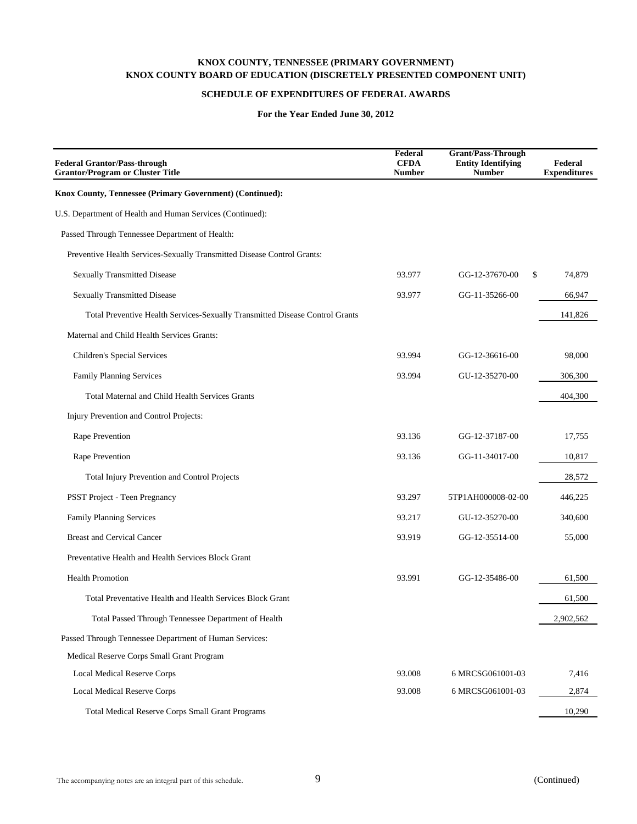## **SCHEDULE OF EXPENDITURES OF FEDERAL AWARDS**

| <b>Federal Grantor/Pass-through</b><br><b>Grantor/Program or Cluster Title</b> | Federal<br><b>CFDA</b><br><b>Number</b> | <b>Grant/Pass-Through</b><br><b>Entity Identifying</b><br><b>Number</b> | Federal<br><b>Expenditures</b> |
|--------------------------------------------------------------------------------|-----------------------------------------|-------------------------------------------------------------------------|--------------------------------|
| Knox County, Tennessee (Primary Government) (Continued):                       |                                         |                                                                         |                                |
| U.S. Department of Health and Human Services (Continued):                      |                                         |                                                                         |                                |
| Passed Through Tennessee Department of Health:                                 |                                         |                                                                         |                                |
| Preventive Health Services-Sexually Transmitted Disease Control Grants:        |                                         |                                                                         |                                |
| <b>Sexually Transmitted Disease</b>                                            | 93.977                                  | \$<br>GG-12-37670-00                                                    | 74,879                         |
| <b>Sexually Transmitted Disease</b>                                            | 93.977                                  | GG-11-35266-00                                                          | 66,947                         |
| Total Preventive Health Services-Sexually Transmitted Disease Control Grants   |                                         |                                                                         | 141,826                        |
| Maternal and Child Health Services Grants:                                     |                                         |                                                                         |                                |
| Children's Special Services                                                    | 93.994                                  | GG-12-36616-00                                                          | 98,000                         |
| Family Planning Services                                                       | 93.994                                  | GU-12-35270-00                                                          | 306,300                        |
| <b>Total Maternal and Child Health Services Grants</b>                         |                                         |                                                                         | 404,300                        |
| Injury Prevention and Control Projects:                                        |                                         |                                                                         |                                |
| Rape Prevention                                                                | 93.136                                  | GG-12-37187-00                                                          | 17,755                         |
| Rape Prevention                                                                | 93.136                                  | GG-11-34017-00                                                          | 10,817                         |
| Total Injury Prevention and Control Projects                                   |                                         |                                                                         | 28,572                         |
| <b>PSST Project - Teen Pregnancy</b>                                           | 93.297                                  | 5TP1AH000008-02-00                                                      | 446,225                        |
| Family Planning Services                                                       | 93.217                                  | GU-12-35270-00                                                          | 340,600                        |
| <b>Breast and Cervical Cancer</b>                                              | 93.919                                  | GG-12-35514-00                                                          | 55,000                         |
| Preventative Health and Health Services Block Grant                            |                                         |                                                                         |                                |
| <b>Health Promotion</b>                                                        | 93.991                                  | GG-12-35486-00                                                          | 61,500                         |
| Total Preventative Health and Health Services Block Grant                      |                                         |                                                                         | 61,500                         |
| Total Passed Through Tennessee Department of Health                            |                                         |                                                                         | 2,902,562                      |
| Passed Through Tennessee Department of Human Services:                         |                                         |                                                                         |                                |
| Medical Reserve Corps Small Grant Program                                      |                                         |                                                                         |                                |
| <b>Local Medical Reserve Corps</b>                                             | 93.008                                  | 6 MRCSG061001-03                                                        | 7,416                          |
| Local Medical Reserve Corps                                                    | 93.008                                  | 6 MRCSG061001-03                                                        | 2,874                          |
| <b>Total Medical Reserve Corps Small Grant Programs</b>                        |                                         |                                                                         | 10,290                         |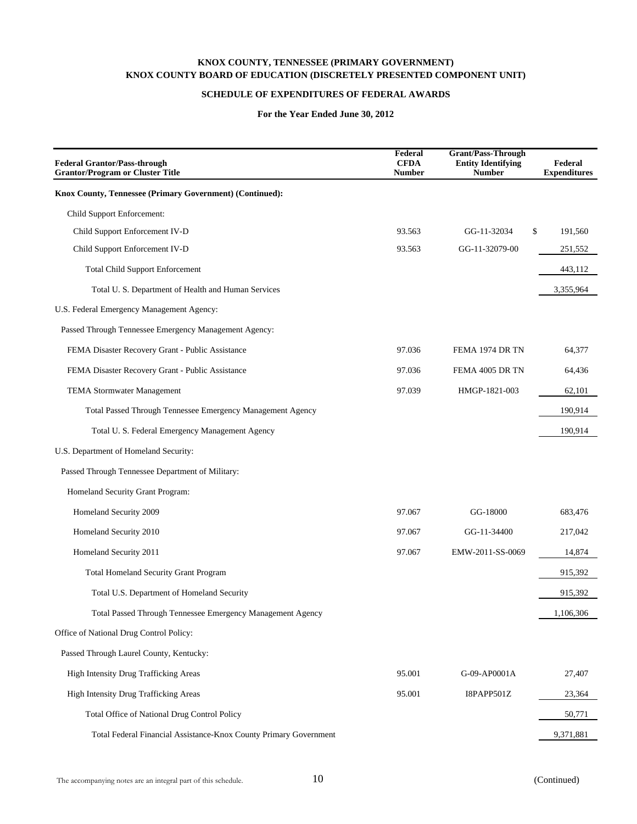## **SCHEDULE OF EXPENDITURES OF FEDERAL AWARDS**

| <b>Federal Grantor/Pass-through</b><br><b>Grantor/Program or Cluster Title</b> | Federal<br><b>CFDA</b><br><b>Number</b> | <b>Grant/Pass-Through</b><br><b>Entity Identifying</b><br><b>Number</b> | Federal<br><b>Expenditures</b> |
|--------------------------------------------------------------------------------|-----------------------------------------|-------------------------------------------------------------------------|--------------------------------|
| Knox County, Tennessee (Primary Government) (Continued):                       |                                         |                                                                         |                                |
| Child Support Enforcement:                                                     |                                         |                                                                         |                                |
| Child Support Enforcement IV-D                                                 | 93.563                                  | \$<br>GG-11-32034                                                       | 191,560                        |
| Child Support Enforcement IV-D                                                 | 93.563                                  | GG-11-32079-00                                                          | 251,552                        |
| <b>Total Child Support Enforcement</b>                                         |                                         |                                                                         | 443,112                        |
| Total U.S. Department of Health and Human Services                             |                                         |                                                                         | 3,355,964                      |
| U.S. Federal Emergency Management Agency:                                      |                                         |                                                                         |                                |
| Passed Through Tennessee Emergency Management Agency:                          |                                         |                                                                         |                                |
| FEMA Disaster Recovery Grant - Public Assistance                               | 97.036                                  | FEMA 1974 DR TN                                                         | 64.377                         |
| FEMA Disaster Recovery Grant - Public Assistance                               | 97.036                                  | FEMA 4005 DR TN                                                         | 64,436                         |
| <b>TEMA Stormwater Management</b>                                              | 97.039                                  | HMGP-1821-003                                                           | 62,101                         |
| Total Passed Through Tennessee Emergency Management Agency                     |                                         |                                                                         | 190,914                        |
| Total U.S. Federal Emergency Management Agency                                 |                                         |                                                                         | 190,914                        |
| U.S. Department of Homeland Security:                                          |                                         |                                                                         |                                |
| Passed Through Tennessee Department of Military:                               |                                         |                                                                         |                                |
| Homeland Security Grant Program:                                               |                                         |                                                                         |                                |
| Homeland Security 2009                                                         | 97.067                                  | GG-18000                                                                | 683,476                        |
| Homeland Security 2010                                                         | 97.067                                  | GG-11-34400                                                             | 217,042                        |
| Homeland Security 2011                                                         | 97.067                                  | EMW-2011-SS-0069                                                        | 14,874                         |
| <b>Total Homeland Security Grant Program</b>                                   |                                         |                                                                         | 915,392                        |
| Total U.S. Department of Homeland Security                                     |                                         |                                                                         | 915,392                        |
| Total Passed Through Tennessee Emergency Management Agency                     |                                         |                                                                         | 1,106,306                      |
| Office of National Drug Control Policy:                                        |                                         |                                                                         |                                |
| Passed Through Laurel County, Kentucky:                                        |                                         |                                                                         |                                |
| High Intensity Drug Trafficking Areas                                          | 95.001                                  | G-09-AP0001A                                                            | 27,407                         |
| High Intensity Drug Trafficking Areas                                          | 95.001                                  | I8PAPP501Z                                                              | 23,364                         |
| Total Office of National Drug Control Policy                                   |                                         |                                                                         | 50,771                         |
| Total Federal Financial Assistance-Knox County Primary Government              |                                         |                                                                         | 9,371,881                      |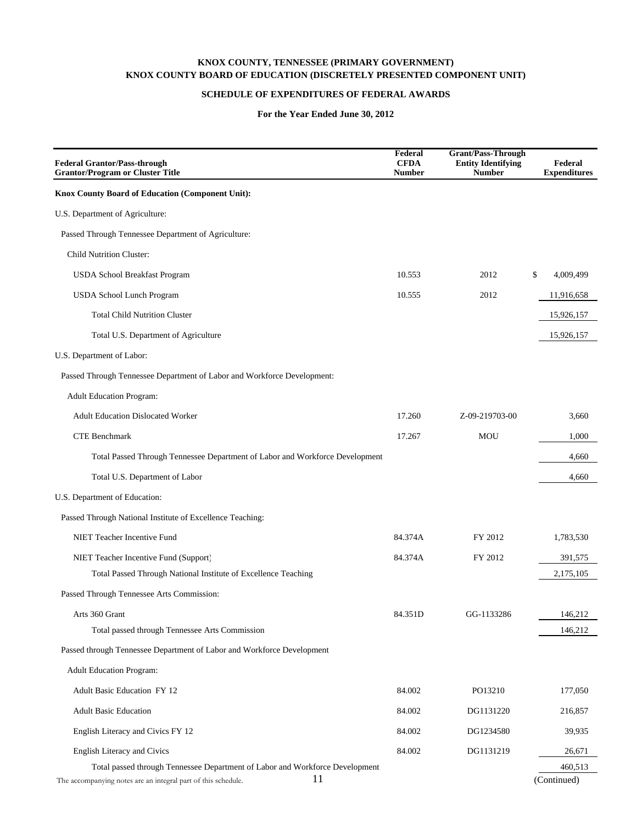### **SCHEDULE OF EXPENDITURES OF FEDERAL AWARDS**

| <b>Federal Grantor/Pass-through</b><br><b>Grantor/Program or Cluster Title</b> | Federal<br><b>CFDA</b><br><b>Number</b> | <b>Grant/Pass-Through</b><br><b>Entity Identifying</b><br><b>Number</b> | Federal<br><b>Expenditures</b> |
|--------------------------------------------------------------------------------|-----------------------------------------|-------------------------------------------------------------------------|--------------------------------|
| Knox County Board of Education (Component Unit):                               |                                         |                                                                         |                                |
| U.S. Department of Agriculture:                                                |                                         |                                                                         |                                |
| Passed Through Tennessee Department of Agriculture:                            |                                         |                                                                         |                                |
| <b>Child Nutrition Cluster:</b>                                                |                                         |                                                                         |                                |
| USDA School Breakfast Program                                                  | 10.553                                  | 2012                                                                    | \$<br>4,009,499                |
| USDA School Lunch Program                                                      | 10.555                                  | 2012                                                                    | 11,916,658                     |
| <b>Total Child Nutrition Cluster</b>                                           |                                         |                                                                         | 15,926,157                     |
| Total U.S. Department of Agriculture                                           |                                         |                                                                         | 15,926,157                     |
| U.S. Department of Labor:                                                      |                                         |                                                                         |                                |
| Passed Through Tennessee Department of Labor and Workforce Development:        |                                         |                                                                         |                                |
| <b>Adult Education Program:</b>                                                |                                         |                                                                         |                                |
| <b>Adult Education Dislocated Worker</b>                                       | 17.260                                  | Z-09-219703-00                                                          | 3,660                          |
| <b>CTE Benchmark</b>                                                           | 17.267                                  | MOU                                                                     | 1,000                          |
| Total Passed Through Tennessee Department of Labor and Workforce Development   |                                         |                                                                         | 4,660                          |
| Total U.S. Department of Labor                                                 |                                         |                                                                         | 4,660                          |
| U.S. Department of Education:                                                  |                                         |                                                                         |                                |
| Passed Through National Institute of Excellence Teaching:                      |                                         |                                                                         |                                |
| NIET Teacher Incentive Fund                                                    | 84.374A                                 | FY 2012                                                                 | 1,783,530                      |
| NIET Teacher Incentive Fund (Support)                                          | 84.374A                                 | FY 2012                                                                 | 391,575                        |
| Total Passed Through National Institute of Excellence Teaching                 |                                         |                                                                         | 2,175,105                      |
| Passed Through Tennessee Arts Commission:                                      |                                         |                                                                         |                                |
| Arts 360 Grant                                                                 | 84.351D                                 | GG-1133286                                                              | 146,212                        |
| Total passed through Tennessee Arts Commission                                 |                                         |                                                                         | 146,212                        |
| Passed through Tennessee Department of Labor and Workforce Development         |                                         |                                                                         |                                |
| <b>Adult Education Program:</b>                                                |                                         |                                                                         |                                |
| <b>Adult Basic Education FY 12</b>                                             | 84.002                                  | PO13210                                                                 | 177,050                        |
| <b>Adult Basic Education</b>                                                   | 84.002                                  | DG1131220                                                               | 216,857                        |
| English Literacy and Civics FY 12                                              | 84.002                                  | DG1234580                                                               | 39,935                         |
| English Literacy and Civics                                                    | 84.002                                  | DG1131219                                                               | 26,671                         |
| Total passed through Tennessee Department of Labor and Workforce Development   |                                         |                                                                         | 460,513                        |
| 11<br>The accompanying notes are an integral part of this schedule.            |                                         |                                                                         | (Continued)                    |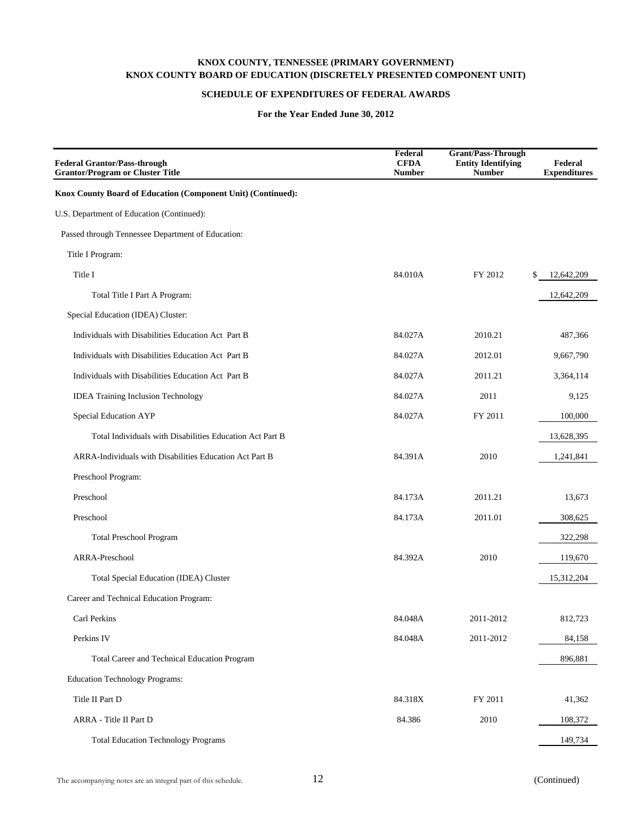## **SCHEDULE OF EXPENDITURES OF FEDERAL AWARDS**

| <b>Federal Grantor/Pass-through</b><br><b>Grantor/Program or Cluster Title</b> | Federal<br><b>CFDA</b><br><b>Number</b> | <b>Grant/Pass-Through</b><br><b>Entity Identifying</b><br><b>Number</b> | Federal<br><b>Expenditures</b> |
|--------------------------------------------------------------------------------|-----------------------------------------|-------------------------------------------------------------------------|--------------------------------|
| Knox County Board of Education (Component Unit) (Continued):                   |                                         |                                                                         |                                |
| U.S. Department of Education (Continued):                                      |                                         |                                                                         |                                |
| Passed through Tennessee Department of Education:                              |                                         |                                                                         |                                |
| Title I Program:                                                               |                                         |                                                                         |                                |
| Title I                                                                        | 84.010A                                 | FY 2012                                                                 | 12,642,209<br>\$               |
| Total Title I Part A Program:                                                  |                                         |                                                                         | 12,642,209                     |
| Special Education (IDEA) Cluster:                                              |                                         |                                                                         |                                |
| Individuals with Disabilities Education Act Part B                             | 84.027A                                 | 2010.21                                                                 | 487,366                        |
| Individuals with Disabilities Education Act Part B                             | 84.027A                                 | 2012.01                                                                 | 9,667,790                      |
| Individuals with Disabilities Education Act Part B                             | 84.027A                                 | 2011.21                                                                 | 3,364,114                      |
| <b>IDEA Training Inclusion Technology</b>                                      | 84.027A                                 | 2011                                                                    | 9,125                          |
| Special Education AYP                                                          | 84.027A                                 | FY 2011                                                                 | 100,000                        |
| Total Individuals with Disabilities Education Act Part B                       |                                         |                                                                         | 13,628,395                     |
| ARRA-Individuals with Disabilities Education Act Part B                        | 84.391A                                 | 2010                                                                    | 1,241,841                      |
| Preschool Program:                                                             |                                         |                                                                         |                                |
| Preschool                                                                      | 84.173A                                 | 2011.21                                                                 | 13,673                         |
| Preschool                                                                      | 84.173A                                 | 2011.01                                                                 | 308,625                        |
| <b>Total Preschool Program</b>                                                 |                                         |                                                                         | 322,298                        |
| ARRA-Preschool                                                                 | 84.392A                                 | 2010                                                                    | 119,670                        |
| Total Special Education (IDEA) Cluster                                         |                                         |                                                                         | 15,312,204                     |
| Career and Technical Education Program:                                        |                                         |                                                                         |                                |
| Carl Perkins                                                                   | 84.048A                                 | 2011-2012                                                               | 812,723                        |
| Perkins IV                                                                     | 84.048A                                 | 2011-2012                                                               | 84,158                         |
| Total Career and Technical Education Program                                   |                                         |                                                                         | 896,881                        |
| <b>Education Technology Programs:</b>                                          |                                         |                                                                         |                                |
| Title II Part D                                                                | 84.318X                                 | FY 2011                                                                 | 41,362                         |
| ARRA - Title II Part D                                                         | 84.386                                  | 2010                                                                    | 108,372                        |
| <b>Total Education Technology Programs</b>                                     |                                         |                                                                         | 149,734                        |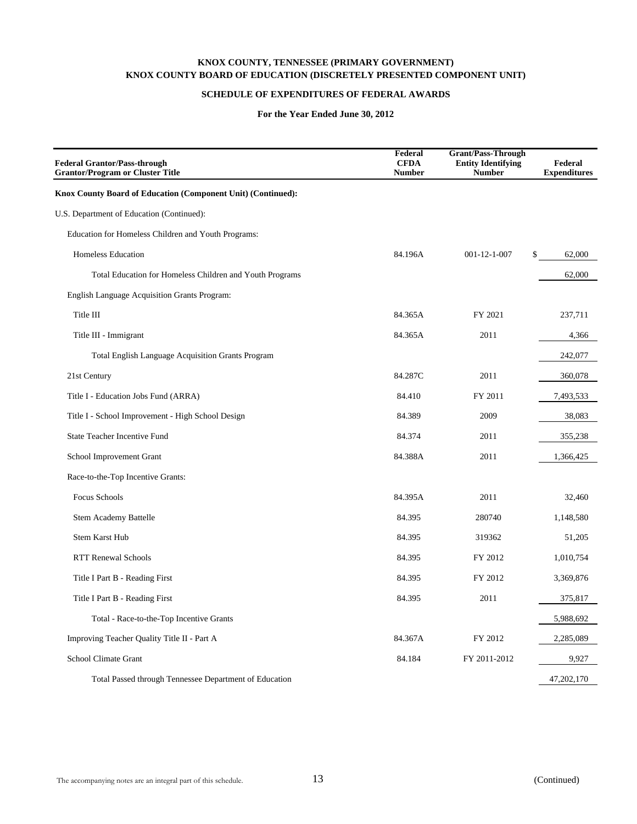## **SCHEDULE OF EXPENDITURES OF FEDERAL AWARDS**

| <b>Federal Grantor/Pass-through</b><br><b>Grantor/Program or Cluster Title</b> | Federal<br><b>CFDA</b><br><b>Number</b> | <b>Grant/Pass-Through</b><br><b>Entity Identifying</b><br><b>Number</b> | Federal<br><b>Expenditures</b> |
|--------------------------------------------------------------------------------|-----------------------------------------|-------------------------------------------------------------------------|--------------------------------|
| Knox County Board of Education (Component Unit) (Continued):                   |                                         |                                                                         |                                |
| U.S. Department of Education (Continued):                                      |                                         |                                                                         |                                |
| Education for Homeless Children and Youth Programs:                            |                                         |                                                                         |                                |
| <b>Homeless Education</b>                                                      | 84.196A                                 | $001 - 12 - 1 - 007$                                                    | \$<br>62,000                   |
| Total Education for Homeless Children and Youth Programs                       |                                         |                                                                         | 62,000                         |
| English Language Acquisition Grants Program:                                   |                                         |                                                                         |                                |
| Title III                                                                      | 84.365A                                 | FY 2021                                                                 | 237,711                        |
| Title III - Immigrant                                                          | 84.365A                                 | 2011                                                                    | 4,366                          |
| <b>Total English Language Acquisition Grants Program</b>                       |                                         |                                                                         | 242,077                        |
| 21st Century                                                                   | 84.287C                                 | 2011                                                                    | 360,078                        |
| Title I - Education Jobs Fund (ARRA)                                           | 84.410                                  | FY 2011                                                                 | 7,493,533                      |
| Title I - School Improvement - High School Design                              | 84.389                                  | 2009                                                                    | 38,083                         |
| <b>State Teacher Incentive Fund</b>                                            | 84.374                                  | 2011                                                                    | 355,238                        |
| School Improvement Grant                                                       | 84.388A                                 | 2011                                                                    | 1,366,425                      |
| Race-to-the-Top Incentive Grants:                                              |                                         |                                                                         |                                |
| Focus Schools                                                                  | 84.395A                                 | 2011                                                                    | 32,460                         |
| Stem Academy Battelle                                                          | 84.395                                  | 280740                                                                  | 1,148,580                      |
| <b>Stem Karst Hub</b>                                                          | 84.395                                  | 319362                                                                  | 51,205                         |
| <b>RTT Renewal Schools</b>                                                     | 84.395                                  | FY 2012                                                                 | 1,010,754                      |
| Title I Part B - Reading First                                                 | 84.395                                  | FY 2012                                                                 | 3,369,876                      |
| Title I Part B - Reading First                                                 | 84.395                                  | 2011                                                                    | 375,817                        |
| Total - Race-to-the-Top Incentive Grants                                       |                                         |                                                                         | 5,988,692                      |
| Improving Teacher Quality Title II - Part A                                    | 84.367A                                 | FY 2012                                                                 | 2,285,089                      |
| School Climate Grant                                                           | 84.184                                  | FY 2011-2012                                                            | 9,927                          |
| Total Passed through Tennessee Department of Education                         |                                         |                                                                         | 47,202,170                     |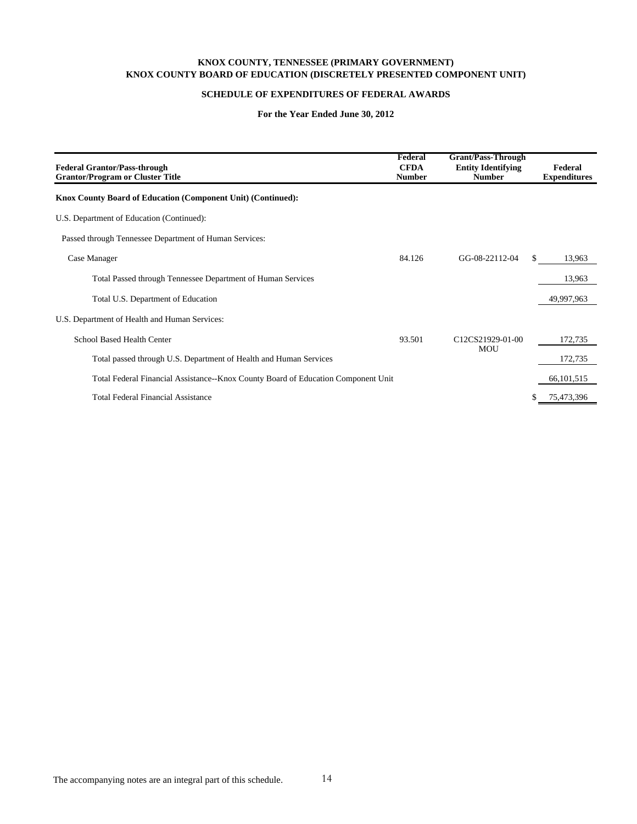### **KNOX COUNTY, TENNESSEE (PRIMARY GOVERNMENT) KNOX COUNTY BOARD OF EDUCATION (DISCRETELY PRESENTED COMPONENT UNIT)**

#### **SCHEDULE OF EXPENDITURES OF FEDERAL AWARDS**

| <b>Federal Grantor/Pass-through</b><br><b>Grantor/Program or Cluster Title</b>    | Federal<br><b>CFDA</b><br><b>Number</b> | <b>Grant/Pass-Through</b><br><b>Entity Identifying</b><br><b>Number</b> | Federal<br><b>Expenditures</b> |
|-----------------------------------------------------------------------------------|-----------------------------------------|-------------------------------------------------------------------------|--------------------------------|
| Knox County Board of Education (Component Unit) (Continued):                      |                                         |                                                                         |                                |
| U.S. Department of Education (Continued):                                         |                                         |                                                                         |                                |
| Passed through Tennessee Department of Human Services:                            |                                         |                                                                         |                                |
| Case Manager                                                                      | 84.126                                  | GG-08-22112-04                                                          | \$<br>13,963                   |
| Total Passed through Tennessee Department of Human Services                       |                                         |                                                                         | 13,963                         |
| Total U.S. Department of Education                                                |                                         |                                                                         | 49,997,963                     |
| U.S. Department of Health and Human Services:                                     |                                         |                                                                         |                                |
| School Based Health Center                                                        | 93.501                                  | C12CS21929-01-00                                                        | 172,735                        |
| Total passed through U.S. Department of Health and Human Services                 |                                         | <b>MOU</b>                                                              | 172,735                        |
| Total Federal Financial Assistance--Knox County Board of Education Component Unit |                                         |                                                                         | 66, 101, 515                   |
| <b>Total Federal Financial Assistance</b>                                         |                                         |                                                                         | 75,473,396                     |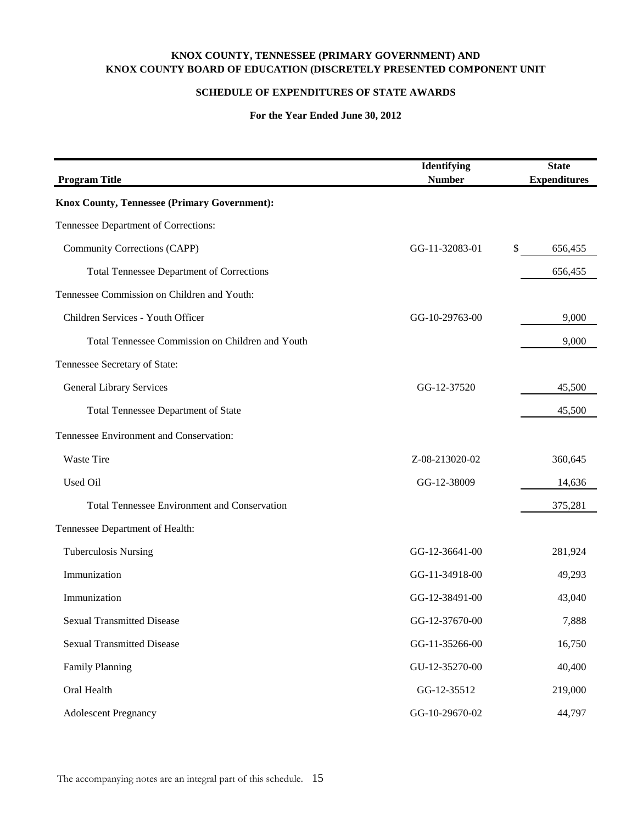## **KNOX COUNTY, TENNESSEE (PRIMARY GOVERNMENT) AND KNOX COUNTY BOARD OF EDUCATION (DISCRETELY PRESENTED COMPONENT UNIT**

## **SCHEDULE OF EXPENDITURES OF STATE AWARDS**

| <b>Program Title</b>                                | Identifying<br><b>Number</b> | <b>State</b><br><b>Expenditures</b> |
|-----------------------------------------------------|------------------------------|-------------------------------------|
| <b>Knox County, Tennessee (Primary Government):</b> |                              |                                     |
| Tennessee Department of Corrections:                |                              |                                     |
| Community Corrections (CAPP)                        | GG-11-32083-01               | \$<br>656,455                       |
| <b>Total Tennessee Department of Corrections</b>    |                              | 656,455                             |
| Tennessee Commission on Children and Youth:         |                              |                                     |
| Children Services - Youth Officer                   | GG-10-29763-00               | 9,000                               |
| Total Tennessee Commission on Children and Youth    |                              | 9,000                               |
| Tennessee Secretary of State:                       |                              |                                     |
| <b>General Library Services</b>                     | GG-12-37520                  | 45,500                              |
| <b>Total Tennessee Department of State</b>          |                              | 45,500                              |
| Tennessee Environment and Conservation:             |                              |                                     |
| Waste Tire                                          | Z-08-213020-02               | 360,645                             |
| Used Oil                                            | GG-12-38009                  | 14,636                              |
| <b>Total Tennessee Environment and Conservation</b> |                              | 375,281                             |
| Tennessee Department of Health:                     |                              |                                     |
| <b>Tuberculosis Nursing</b>                         | GG-12-36641-00               | 281,924                             |
| Immunization                                        | GG-11-34918-00               | 49,293                              |
| Immunization                                        | GG-12-38491-00               | 43,040                              |
| <b>Sexual Transmitted Disease</b>                   | GG-12-37670-00               | 7,888                               |
| <b>Sexual Transmitted Disease</b>                   | GG-11-35266-00               | 16,750                              |
| <b>Family Planning</b>                              | GU-12-35270-00               | 40,400                              |
| Oral Health                                         | GG-12-35512                  | 219,000                             |
| <b>Adolescent Pregnancy</b>                         | GG-10-29670-02               | 44,797                              |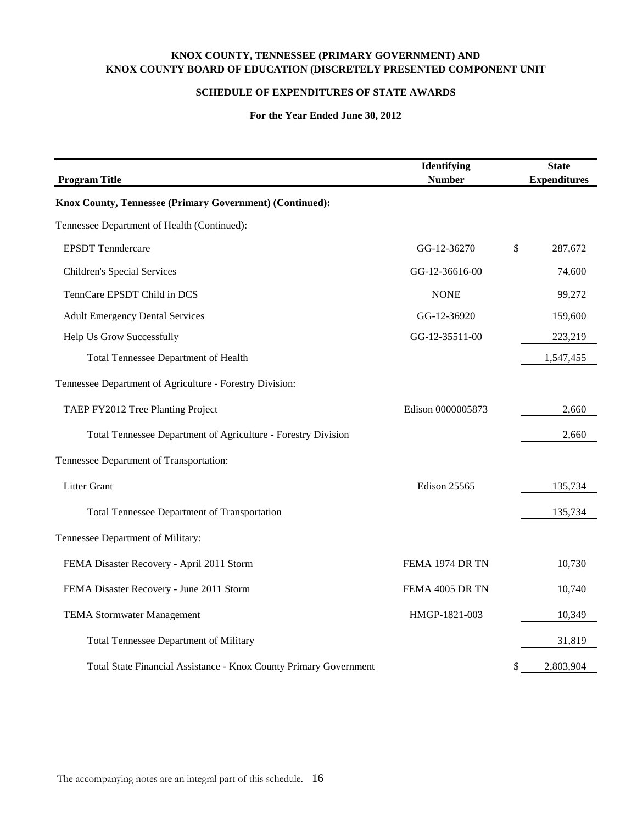## **KNOX COUNTY, TENNESSEE (PRIMARY GOVERNMENT) AND KNOX COUNTY BOARD OF EDUCATION (DISCRETELY PRESENTED COMPONENT UNIT**

## **SCHEDULE OF EXPENDITURES OF STATE AWARDS**

| <b>Program Title</b>                                              | Identifying<br><b>Number</b> | <b>State</b><br><b>Expenditures</b> |
|-------------------------------------------------------------------|------------------------------|-------------------------------------|
| Knox County, Tennessee (Primary Government) (Continued):          |                              |                                     |
| Tennessee Department of Health (Continued):                       |                              |                                     |
| <b>EPSDT</b> Tenndercare                                          | GG-12-36270                  | \$<br>287,672                       |
| Children's Special Services                                       | GG-12-36616-00               | 74,600                              |
| TennCare EPSDT Child in DCS                                       | <b>NONE</b>                  | 99,272                              |
| <b>Adult Emergency Dental Services</b>                            | GG-12-36920                  | 159,600                             |
| Help Us Grow Successfully                                         | GG-12-35511-00               | 223,219                             |
| Total Tennessee Department of Health                              |                              | 1,547,455                           |
| Tennessee Department of Agriculture - Forestry Division:          |                              |                                     |
| TAEP FY2012 Tree Planting Project                                 | Edison 0000005873            | 2,660                               |
| Total Tennessee Department of Agriculture - Forestry Division     |                              | 2,660                               |
| Tennessee Department of Transportation:                           |                              |                                     |
| <b>Litter Grant</b>                                               | Edison 25565                 | 135,734                             |
| Total Tennessee Department of Transportation                      |                              | 135,734                             |
| Tennessee Department of Military:                                 |                              |                                     |
| FEMA Disaster Recovery - April 2011 Storm                         | FEMA 1974 DR TN              | 10,730                              |
| FEMA Disaster Recovery - June 2011 Storm                          | FEMA 4005 DR TN              | 10,740                              |
| <b>TEMA Stormwater Management</b>                                 | HMGP-1821-003                | 10,349                              |
| Total Tennessee Department of Military                            |                              | 31,819                              |
| Total State Financial Assistance - Knox County Primary Government |                              | \$<br>2,803,904                     |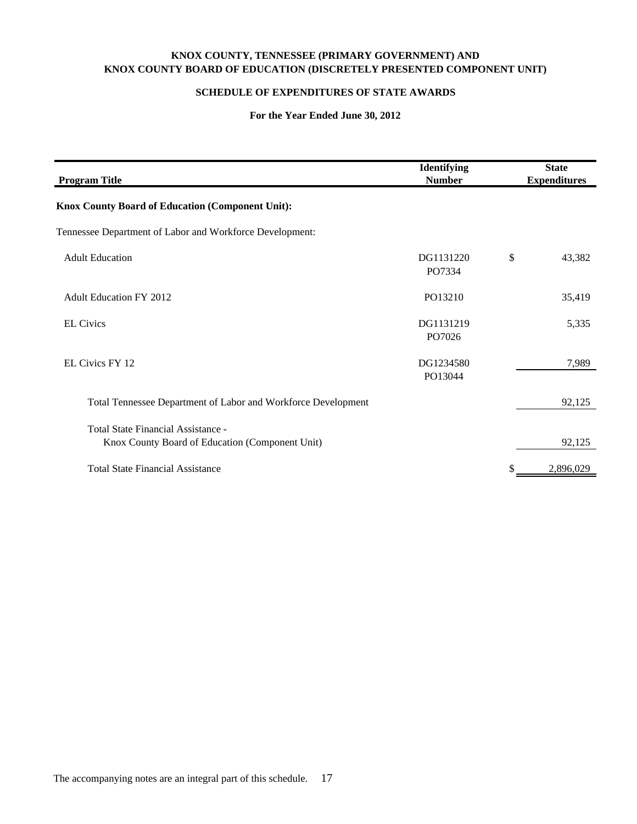## **KNOX COUNTY, TENNESSEE (PRIMARY GOVERNMENT) AND KNOX COUNTY BOARD OF EDUCATION (DISCRETELY PRESENTED COMPONENT UNIT)**

## **SCHEDULE OF EXPENDITURES OF STATE AWARDS**

| <b>Program Title</b>                                                                  | Identifying<br><b>Number</b> | <b>State</b><br><b>Expenditures</b> |
|---------------------------------------------------------------------------------------|------------------------------|-------------------------------------|
| <b>Knox County Board of Education (Component Unit):</b>                               |                              |                                     |
| Tennessee Department of Labor and Workforce Development:                              |                              |                                     |
| <b>Adult Education</b>                                                                | DG1131220<br>PO7334          | \$<br>43,382                        |
| <b>Adult Education FY 2012</b>                                                        | PO13210                      | 35,419                              |
| <b>EL Civics</b>                                                                      | DG1131219<br>PO7026          | 5,335                               |
| <b>EL Civics FY 12</b>                                                                | DG1234580<br>PO13044         | 7,989                               |
| Total Tennessee Department of Labor and Workforce Development                         |                              | 92,125                              |
| Total State Financial Assistance -<br>Knox County Board of Education (Component Unit) |                              | 92,125                              |
| <b>Total State Financial Assistance</b>                                               |                              | 2,896,029                           |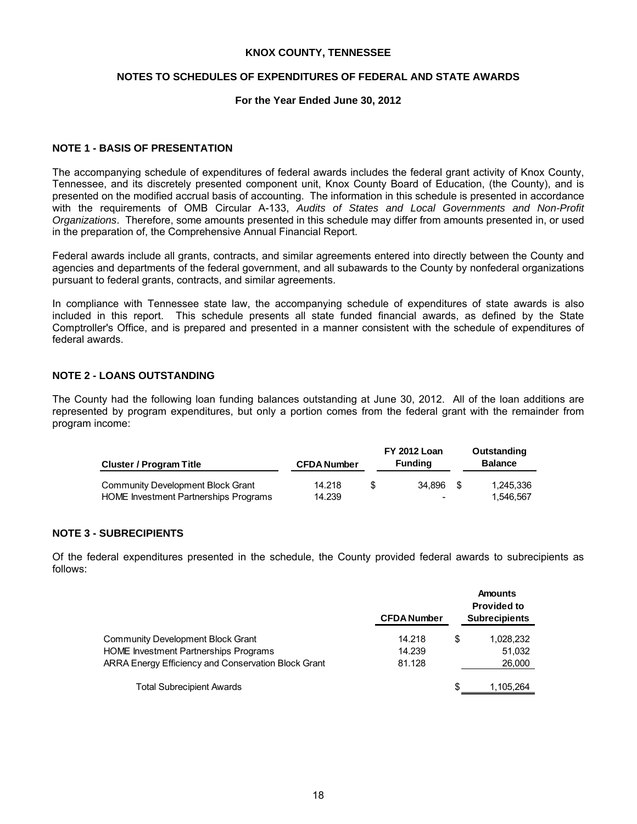## **NOTES TO SCHEDULES OF EXPENDITURES OF FEDERAL AND STATE AWARDS**

## **For the Year Ended June 30, 2012**

## **NOTE 1 - BASIS OF PRESENTATION**

The accompanying schedule of expenditures of federal awards includes the federal grant activity of Knox County, Tennessee, and its discretely presented component unit, Knox County Board of Education, (the County), and is presented on the modified accrual basis of accounting. The information in this schedule is presented in accordance with the requirements of OMB Circular A-133, *Audits of States and Local Governments and Non-Profit Organizations*. Therefore, some amounts presented in this schedule may differ from amounts presented in, or used in the preparation of, the Comprehensive Annual Financial Report.

Federal awards include all grants, contracts, and similar agreements entered into directly between the County and agencies and departments of the federal government, and all subawards to the County by nonfederal organizations pursuant to federal grants, contracts, and similar agreements.

In compliance with Tennessee state law, the accompanying schedule of expenditures of state awards is also included in this report. This schedule presents all state funded financial awards, as defined by the State Comptroller's Office, and is prepared and presented in a manner consistent with the schedule of expenditures of federal awards.

## **NOTE 2 - LOANS OUTSTANDING**

The County had the following loan funding balances outstanding at June 30, 2012. All of the loan additions are represented by program expenditures, but only a portion comes from the federal grant with the remainder from program income:

| <b>Cluster / Program Title</b>        | <b>CFDA Number</b> | <b>FY 2012 Loan</b><br><b>Funding</b> | Outstanding<br><b>Balance</b> |
|---------------------------------------|--------------------|---------------------------------------|-------------------------------|
| Community Development Block Grant     | 14.218             | 34.896 \$                             | 1.245.336                     |
| HOME Investment Partnerships Programs | 14.239             | -                                     | 1.546.567                     |

### **NOTE 3 - SUBRECIPIENTS**

Of the federal expenditures presented in the schedule, the County provided federal awards to subrecipients as follows:

|                                                     | <b>CFDA Number</b> |     | <b>Amounts</b><br><b>Provided to</b><br><b>Subrecipients</b> |
|-----------------------------------------------------|--------------------|-----|--------------------------------------------------------------|
| <b>Community Development Block Grant</b>            | 14.218             | S   | 1,028,232                                                    |
| <b>HOME Investment Partnerships Programs</b>        | 14.239             |     | 51,032                                                       |
| ARRA Energy Efficiency and Conservation Block Grant | 81.128             |     | 26,000                                                       |
| <b>Total Subrecipient Awards</b>                    |                    | \$. | 1,105,264                                                    |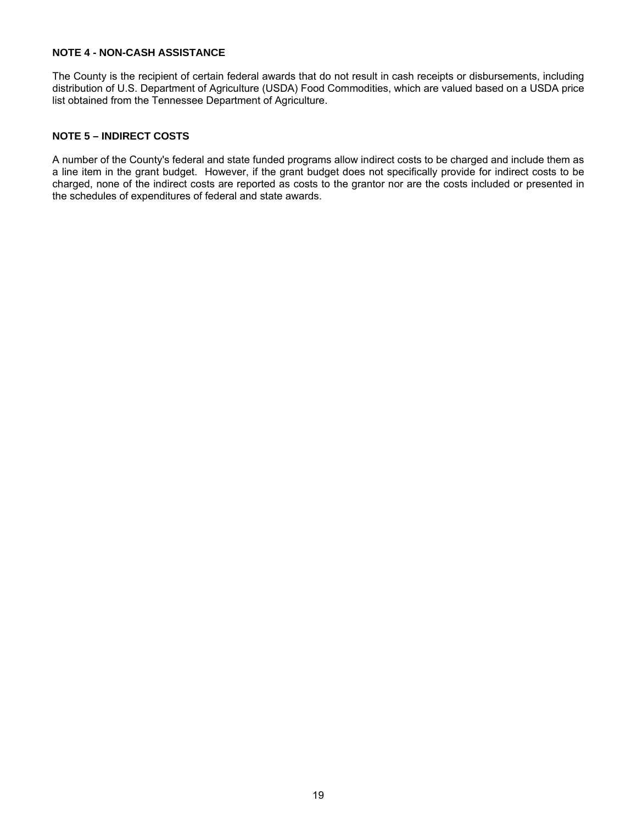## **NOTE 4 - NON-CASH ASSISTANCE**

The County is the recipient of certain federal awards that do not result in cash receipts or disbursements, including distribution of U.S. Department of Agriculture (USDA) Food Commodities, which are valued based on a USDA price list obtained from the Tennessee Department of Agriculture.

## **NOTE 5 – INDIRECT COSTS**

A number of the County's federal and state funded programs allow indirect costs to be charged and include them as a line item in the grant budget. However, if the grant budget does not specifically provide for indirect costs to be charged, none of the indirect costs are reported as costs to the grantor nor are the costs included or presented in the schedules of expenditures of federal and state awards.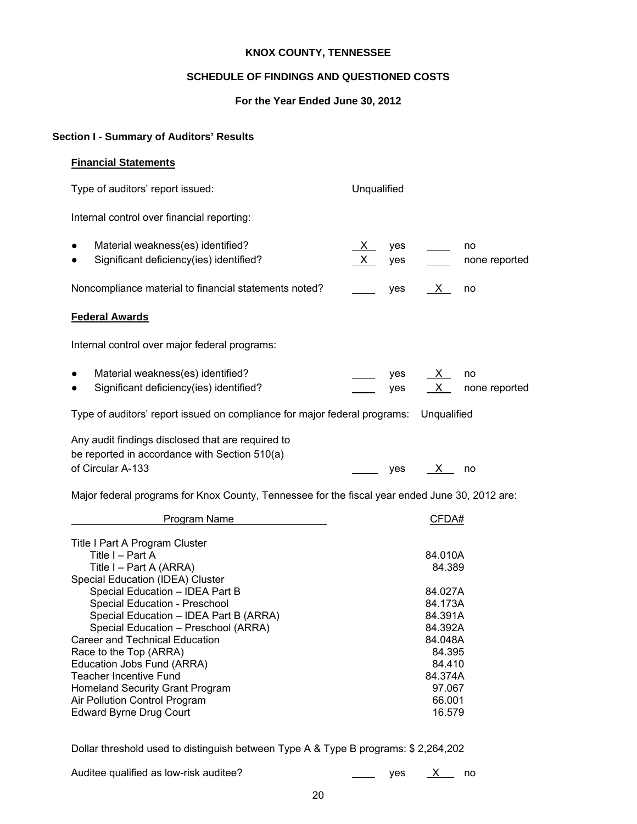## **SCHEDULE OF FINDINGS AND QUESTIONED COSTS**

## **For the Year Ended June 30, 2012**

## **Section I - Summary of Auditors' Results**

## **Financial Statements**

Type of auditors' report issued: Unqualified

Internal control over financial reporting:

| $\bullet$ | Material weakness(es) identified?                     | $\mathsf{X}$ | ves | no            |
|-----------|-------------------------------------------------------|--------------|-----|---------------|
| $\bullet$ | Significant deficiency(ies) identified?               | X yes        |     | none reported |
|           | Noncompliance material to financial statements noted? |              | ves | no            |

## **Federal Awards**

Internal control over major federal programs:

| Material weakness(es) identified?       | ves | $\mathsf{X}$ |               |
|-----------------------------------------|-----|--------------|---------------|
| Significant deficiency(ies) identified? | ves | X            | none reported |

Type of auditors' report issued on compliance for major federal programs: Unqualified

Any audit findings disclosed that are required to be reported in accordance with Section 510(a) of Circular A-133 yes X no

Major federal programs for Knox County, Tennessee for the fiscal year ended June 30, 2012 are:

| Program Name                           | CFDA#   |
|----------------------------------------|---------|
| Title I Part A Program Cluster         |         |
| Title I - Part A                       | 84.010A |
| Title I – Part A (ARRA)                | 84.389  |
| Special Education (IDEA) Cluster       |         |
| Special Education - IDEA Part B        | 84.027A |
| Special Education - Preschool          | 84.173A |
| Special Education - IDEA Part B (ARRA) | 84.391A |
| Special Education - Preschool (ARRA)   | 84.392A |
| Career and Technical Education         | 84.048A |
| Race to the Top (ARRA)                 | 84.395  |
| Education Jobs Fund (ARRA)             | 84.410  |
| Teacher Incentive Fund                 | 84.374A |
| <b>Homeland Security Grant Program</b> | 97.067  |
| Air Pollution Control Program          | 66.001  |
| <b>Edward Byrne Drug Court</b>         | 16.579  |

Dollar threshold used to distinguish between Type A & Type B programs: \$ 2,264,202

| Auditee qualified as low-risk auditee? |  |
|----------------------------------------|--|
|----------------------------------------|--|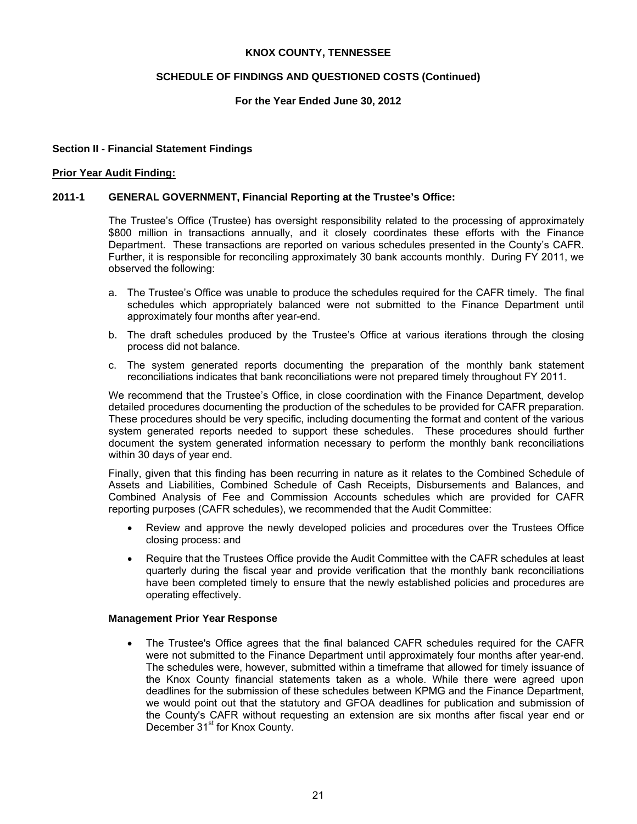## **SCHEDULE OF FINDINGS AND QUESTIONED COSTS (Continued)**

## **For the Year Ended June 30, 2012**

### **Section II - Financial Statement Findings**

#### **Prior Year Audit Finding:**

### **2011-1 GENERAL GOVERNMENT, Financial Reporting at the Trustee's Office:**

The Trustee's Office (Trustee) has oversight responsibility related to the processing of approximately \$800 million in transactions annually, and it closely coordinates these efforts with the Finance Department. These transactions are reported on various schedules presented in the County's CAFR. Further, it is responsible for reconciling approximately 30 bank accounts monthly. During FY 2011, we observed the following:

- a. The Trustee's Office was unable to produce the schedules required for the CAFR timely. The final schedules which appropriately balanced were not submitted to the Finance Department until approximately four months after year-end.
- b. The draft schedules produced by the Trustee's Office at various iterations through the closing process did not balance.
- c. The system generated reports documenting the preparation of the monthly bank statement reconciliations indicates that bank reconciliations were not prepared timely throughout FY 2011.

We recommend that the Trustee's Office, in close coordination with the Finance Department, develop detailed procedures documenting the production of the schedules to be provided for CAFR preparation. These procedures should be very specific, including documenting the format and content of the various system generated reports needed to support these schedules. These procedures should further document the system generated information necessary to perform the monthly bank reconciliations within 30 days of year end.

Finally, given that this finding has been recurring in nature as it relates to the Combined Schedule of Assets and Liabilities, Combined Schedule of Cash Receipts, Disbursements and Balances, and Combined Analysis of Fee and Commission Accounts schedules which are provided for CAFR reporting purposes (CAFR schedules), we recommended that the Audit Committee:

- Review and approve the newly developed policies and procedures over the Trustees Office closing process: and
- Require that the Trustees Office provide the Audit Committee with the CAFR schedules at least quarterly during the fiscal year and provide verification that the monthly bank reconciliations have been completed timely to ensure that the newly established policies and procedures are operating effectively.

#### **Management Prior Year Response**

• The Trustee's Office agrees that the final balanced CAFR schedules required for the CAFR were not submitted to the Finance Department until approximately four months after year-end. The schedules were, however, submitted within a timeframe that allowed for timely issuance of the Knox County financial statements taken as a whole. While there were agreed upon deadlines for the submission of these schedules between KPMG and the Finance Department, we would point out that the statutory and GFOA deadlines for publication and submission of the County's CAFR without requesting an extension are six months after fiscal year end or December 31<sup>st</sup> for Knox County.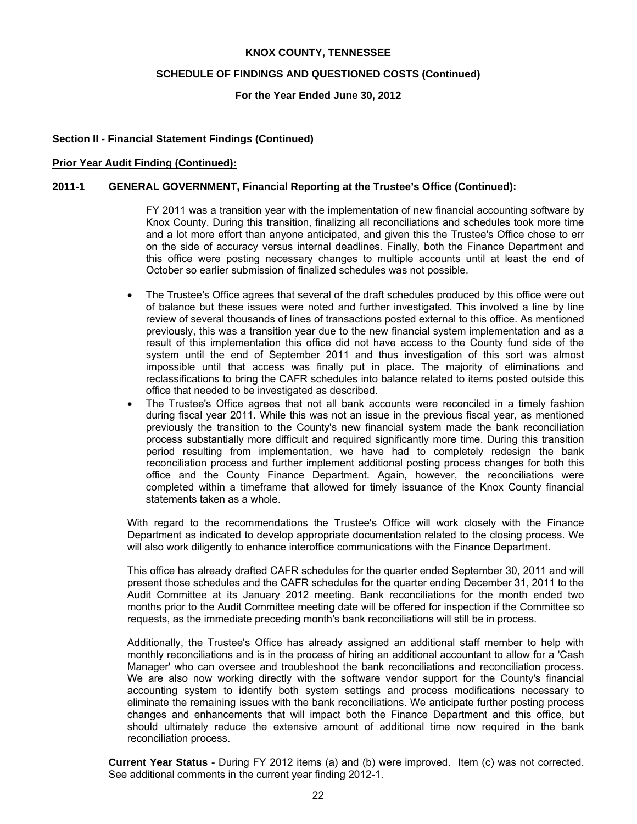#### **SCHEDULE OF FINDINGS AND QUESTIONED COSTS (Continued)**

**For the Year Ended June 30, 2012** 

#### **Section II - Financial Statement Findings (Continued)**

#### **Prior Year Audit Finding (Continued):**

#### **2011-1 GENERAL GOVERNMENT, Financial Reporting at the Trustee's Office (Continued):**

FY 2011 was a transition year with the implementation of new financial accounting software by Knox County. During this transition, finalizing all reconciliations and schedules took more time and a lot more effort than anyone anticipated, and given this the Trustee's Office chose to err on the side of accuracy versus internal deadlines. Finally, both the Finance Department and this office were posting necessary changes to multiple accounts until at least the end of October so earlier submission of finalized schedules was not possible.

- The Trustee's Office agrees that several of the draft schedules produced by this office were out of balance but these issues were noted and further investigated. This involved a line by line review of several thousands of lines of transactions posted external to this office. As mentioned previously, this was a transition year due to the new financial system implementation and as a result of this implementation this office did not have access to the County fund side of the system until the end of September 2011 and thus investigation of this sort was almost impossible until that access was finally put in place. The majority of eliminations and reclassifications to bring the CAFR schedules into balance related to items posted outside this office that needed to be investigated as described.
- The Trustee's Office agrees that not all bank accounts were reconciled in a timely fashion during fiscal year 2011. While this was not an issue in the previous fiscal year, as mentioned previously the transition to the County's new financial system made the bank reconciliation process substantially more difficult and required significantly more time. During this transition period resulting from implementation, we have had to completely redesign the bank reconciliation process and further implement additional posting process changes for both this office and the County Finance Department. Again, however, the reconciliations were completed within a timeframe that allowed for timely issuance of the Knox County financial statements taken as a whole.

With regard to the recommendations the Trustee's Office will work closely with the Finance Department as indicated to develop appropriate documentation related to the closing process. We will also work diligently to enhance interoffice communications with the Finance Department.

This office has already drafted CAFR schedules for the quarter ended September 30, 2011 and will present those schedules and the CAFR schedules for the quarter ending December 31, 2011 to the Audit Committee at its January 2012 meeting. Bank reconciliations for the month ended two months prior to the Audit Committee meeting date will be offered for inspection if the Committee so requests, as the immediate preceding month's bank reconciliations will still be in process.

Additionally, the Trustee's Office has already assigned an additional staff member to help with monthly reconciliations and is in the process of hiring an additional accountant to allow for a 'Cash Manager' who can oversee and troubleshoot the bank reconciliations and reconciliation process. We are also now working directly with the software vendor support for the County's financial accounting system to identify both system settings and process modifications necessary to eliminate the remaining issues with the bank reconciliations. We anticipate further posting process changes and enhancements that will impact both the Finance Department and this office, but should ultimately reduce the extensive amount of additional time now required in the bank reconciliation process.

**Current Year Status** - During FY 2012 items (a) and (b) were improved. Item (c) was not corrected. See additional comments in the current year finding 2012-1.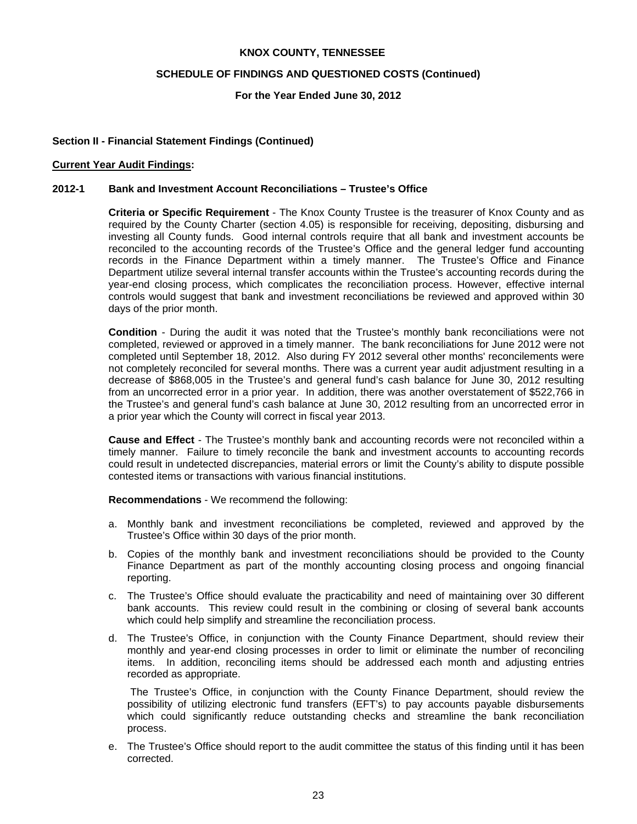#### **SCHEDULE OF FINDINGS AND QUESTIONED COSTS (Continued)**

#### **For the Year Ended June 30, 2012**

#### **Section II - Financial Statement Findings (Continued)**

#### **Current Year Audit Findings:**

#### **2012-1 Bank and Investment Account Reconciliations – Trustee's Office**

**Criteria or Specific Requirement** - The Knox County Trustee is the treasurer of Knox County and as required by the County Charter (section 4.05) is responsible for receiving, depositing, disbursing and investing all County funds. Good internal controls require that all bank and investment accounts be reconciled to the accounting records of the Trustee's Office and the general ledger fund accounting records in the Finance Department within a timely manner. The Trustee's Office and Finance Department utilize several internal transfer accounts within the Trustee's accounting records during the year-end closing process, which complicates the reconciliation process. However, effective internal controls would suggest that bank and investment reconciliations be reviewed and approved within 30 days of the prior month.

**Condition** - During the audit it was noted that the Trustee's monthly bank reconciliations were not completed, reviewed or approved in a timely manner. The bank reconciliations for June 2012 were not completed until September 18, 2012. Also during FY 2012 several other months' reconcilements were not completely reconciled for several months. There was a current year audit adjustment resulting in a decrease of \$868,005 in the Trustee's and general fund's cash balance for June 30, 2012 resulting from an uncorrected error in a prior year. In addition, there was another overstatement of \$522,766 in the Trustee's and general fund's cash balance at June 30, 2012 resulting from an uncorrected error in a prior year which the County will correct in fiscal year 2013.

**Cause and Effect** - The Trustee's monthly bank and accounting records were not reconciled within a timely manner. Failure to timely reconcile the bank and investment accounts to accounting records could result in undetected discrepancies, material errors or limit the County's ability to dispute possible contested items or transactions with various financial institutions.

**Recommendations** - We recommend the following:

- a. Monthly bank and investment reconciliations be completed, reviewed and approved by the Trustee's Office within 30 days of the prior month.
- b. Copies of the monthly bank and investment reconciliations should be provided to the County Finance Department as part of the monthly accounting closing process and ongoing financial reporting.
- c. The Trustee's Office should evaluate the practicability and need of maintaining over 30 different bank accounts. This review could result in the combining or closing of several bank accounts which could help simplify and streamline the reconciliation process.
- d. The Trustee's Office, in conjunction with the County Finance Department, should review their monthly and year-end closing processes in order to limit or eliminate the number of reconciling items. In addition, reconciling items should be addressed each month and adjusting entries recorded as appropriate.

The Trustee's Office, in conjunction with the County Finance Department, should review the possibility of utilizing electronic fund transfers (EFT's) to pay accounts payable disbursements which could significantly reduce outstanding checks and streamline the bank reconciliation process.

e. The Trustee's Office should report to the audit committee the status of this finding until it has been corrected.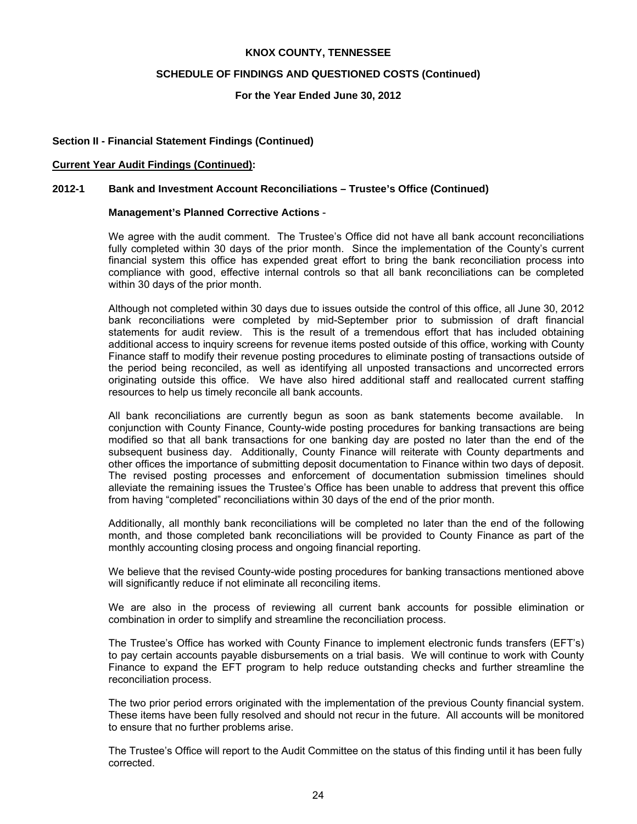#### **SCHEDULE OF FINDINGS AND QUESTIONED COSTS (Continued)**

#### **For the Year Ended June 30, 2012**

#### **Section II - Financial Statement Findings (Continued)**

#### **Current Year Audit Findings (Continued):**

#### **2012-1 Bank and Investment Account Reconciliations – Trustee's Office (Continued)**

#### **Management's Planned Corrective Actions** -

We agree with the audit comment. The Trustee's Office did not have all bank account reconciliations fully completed within 30 days of the prior month. Since the implementation of the County's current financial system this office has expended great effort to bring the bank reconciliation process into compliance with good, effective internal controls so that all bank reconciliations can be completed within 30 days of the prior month.

Although not completed within 30 days due to issues outside the control of this office, all June 30, 2012 bank reconciliations were completed by mid-September prior to submission of draft financial statements for audit review. This is the result of a tremendous effort that has included obtaining additional access to inquiry screens for revenue items posted outside of this office, working with County Finance staff to modify their revenue posting procedures to eliminate posting of transactions outside of the period being reconciled, as well as identifying all unposted transactions and uncorrected errors originating outside this office. We have also hired additional staff and reallocated current staffing resources to help us timely reconcile all bank accounts.

All bank reconciliations are currently begun as soon as bank statements become available. In conjunction with County Finance, County-wide posting procedures for banking transactions are being modified so that all bank transactions for one banking day are posted no later than the end of the subsequent business day. Additionally, County Finance will reiterate with County departments and other offices the importance of submitting deposit documentation to Finance within two days of deposit. The revised posting processes and enforcement of documentation submission timelines should alleviate the remaining issues the Trustee's Office has been unable to address that prevent this office from having "completed" reconciliations within 30 days of the end of the prior month.

Additionally, all monthly bank reconciliations will be completed no later than the end of the following month, and those completed bank reconciliations will be provided to County Finance as part of the monthly accounting closing process and ongoing financial reporting.

We believe that the revised County-wide posting procedures for banking transactions mentioned above will significantly reduce if not eliminate all reconciling items.

We are also in the process of reviewing all current bank accounts for possible elimination or combination in order to simplify and streamline the reconciliation process.

The Trustee's Office has worked with County Finance to implement electronic funds transfers (EFT's) to pay certain accounts payable disbursements on a trial basis. We will continue to work with County Finance to expand the EFT program to help reduce outstanding checks and further streamline the reconciliation process.

The two prior period errors originated with the implementation of the previous County financial system. These items have been fully resolved and should not recur in the future. All accounts will be monitored to ensure that no further problems arise.

The Trustee's Office will report to the Audit Committee on the status of this finding until it has been fully corrected.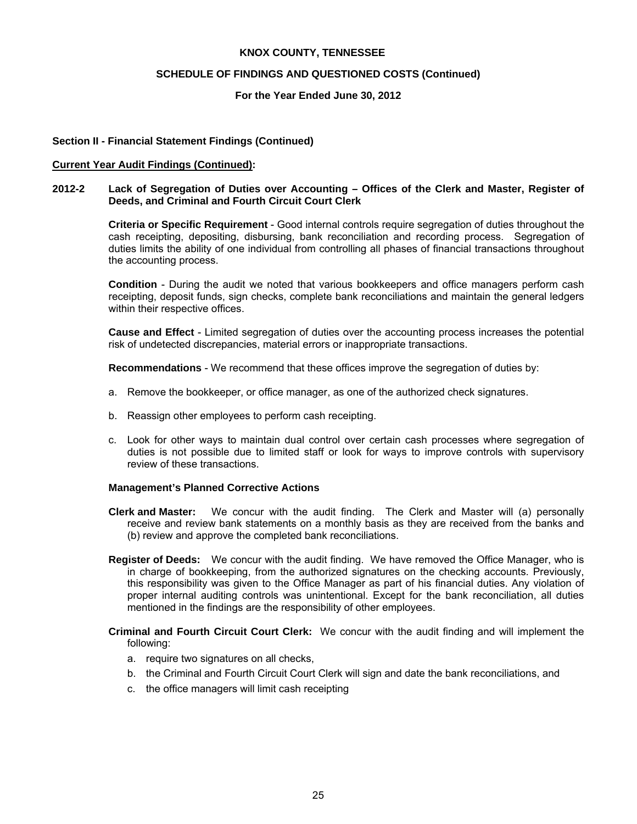#### **SCHEDULE OF FINDINGS AND QUESTIONED COSTS (Continued)**

#### **For the Year Ended June 30, 2012**

#### **Section II - Financial Statement Findings (Continued)**

#### **Current Year Audit Findings (Continued):**

#### **2012-2 Lack of Segregation of Duties over Accounting – Offices of the Clerk and Master, Register of Deeds, and Criminal and Fourth Circuit Court Clerk**

**Criteria or Specific Requirement** - Good internal controls require segregation of duties throughout the cash receipting, depositing, disbursing, bank reconciliation and recording process. Segregation of duties limits the ability of one individual from controlling all phases of financial transactions throughout the accounting process.

**Condition** - During the audit we noted that various bookkeepers and office managers perform cash receipting, deposit funds, sign checks, complete bank reconciliations and maintain the general ledgers within their respective offices.

**Cause and Effect** - Limited segregation of duties over the accounting process increases the potential risk of undetected discrepancies, material errors or inappropriate transactions.

**Recommendations** - We recommend that these offices improve the segregation of duties by:

- a. Remove the bookkeeper, or office manager, as one of the authorized check signatures.
- b. Reassign other employees to perform cash receipting.
- c. Look for other ways to maintain dual control over certain cash processes where segregation of duties is not possible due to limited staff or look for ways to improve controls with supervisory review of these transactions.

#### **Management's Planned Corrective Actions**

- **Clerk and Master:** We concur with the audit finding. The Clerk and Master will (a) personally receive and review bank statements on a monthly basis as they are received from the banks and (b) review and approve the completed bank reconciliations.
- **Register of Deeds:** We concur with the audit finding. We have removed the Office Manager, who is in charge of bookkeeping, from the authorized signatures on the checking accounts. Previously, this responsibility was given to the Office Manager as part of his financial duties. Any violation of proper internal auditing controls was unintentional. Except for the bank reconciliation, all duties mentioned in the findings are the responsibility of other employees.
- **Criminal and Fourth Circuit Court Clerk:** We concur with the audit finding and will implement the following:
	- a. require two signatures on all checks,
	- b. the Criminal and Fourth Circuit Court Clerk will sign and date the bank reconciliations, and
	- c. the office managers will limit cash receipting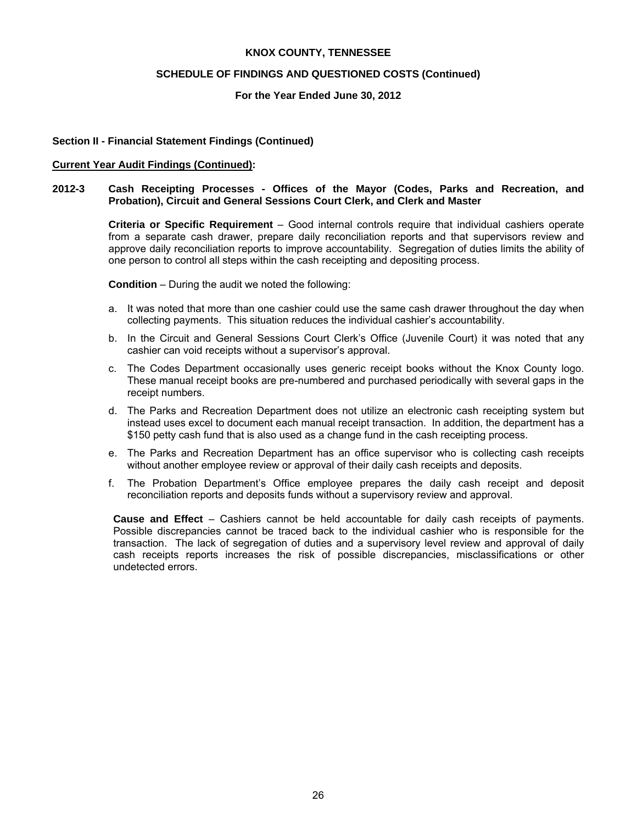#### **SCHEDULE OF FINDINGS AND QUESTIONED COSTS (Continued)**

#### **For the Year Ended June 30, 2012**

#### **Section II - Financial Statement Findings (Continued)**

#### **Current Year Audit Findings (Continued):**

#### **2012-3 Cash Receipting Processes - Offices of the Mayor (Codes, Parks and Recreation, and Probation), Circuit and General Sessions Court Clerk, and Clerk and Master**

 **Criteria or Specific Requirement** – Good internal controls require that individual cashiers operate from a separate cash drawer, prepare daily reconciliation reports and that supervisors review and approve daily reconciliation reports to improve accountability. Segregation of duties limits the ability of one person to control all steps within the cash receipting and depositing process.

**Condition** – During the audit we noted the following:

- a. It was noted that more than one cashier could use the same cash drawer throughout the day when collecting payments. This situation reduces the individual cashier's accountability.
- b. In the Circuit and General Sessions Court Clerk's Office (Juvenile Court) it was noted that any cashier can void receipts without a supervisor's approval.
- c. The Codes Department occasionally uses generic receipt books without the Knox County logo. These manual receipt books are pre-numbered and purchased periodically with several gaps in the receipt numbers.
- d. The Parks and Recreation Department does not utilize an electronic cash receipting system but instead uses excel to document each manual receipt transaction. In addition, the department has a \$150 petty cash fund that is also used as a change fund in the cash receipting process.
- e. The Parks and Recreation Department has an office supervisor who is collecting cash receipts without another employee review or approval of their daily cash receipts and deposits.
- f. The Probation Department's Office employee prepares the daily cash receipt and deposit reconciliation reports and deposits funds without a supervisory review and approval.

**Cause and Effect** – Cashiers cannot be held accountable for daily cash receipts of payments. Possible discrepancies cannot be traced back to the individual cashier who is responsible for the transaction. The lack of segregation of duties and a supervisory level review and approval of daily cash receipts reports increases the risk of possible discrepancies, misclassifications or other undetected errors.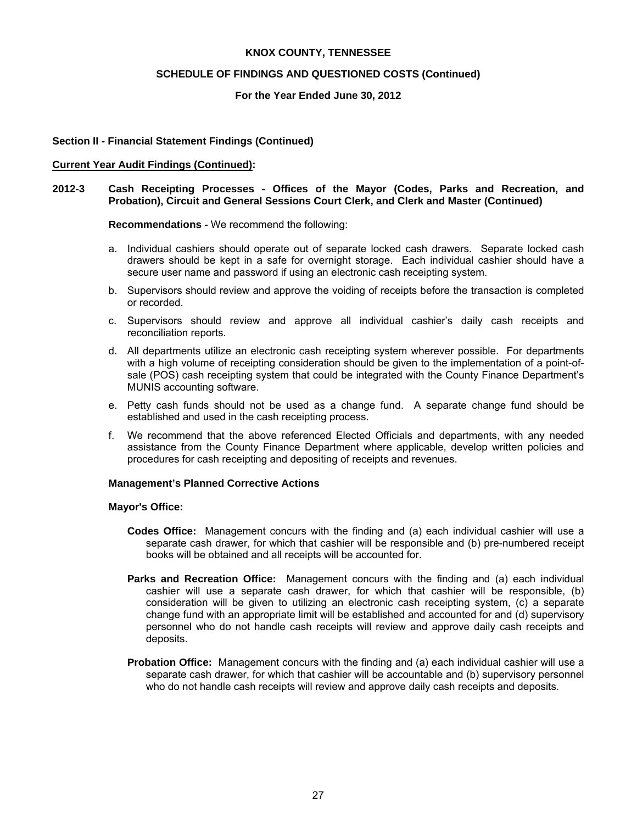#### **SCHEDULE OF FINDINGS AND QUESTIONED COSTS (Continued)**

#### **For the Year Ended June 30, 2012**

### **Section II - Financial Statement Findings (Continued)**

#### **Current Year Audit Findings (Continued):**

#### **2012-3 Cash Receipting Processes - Offices of the Mayor (Codes, Parks and Recreation, and Probation), Circuit and General Sessions Court Clerk, and Clerk and Master (Continued)**

#### **Recommendations** - We recommend the following:

- a. Individual cashiers should operate out of separate locked cash drawers. Separate locked cash drawers should be kept in a safe for overnight storage. Each individual cashier should have a secure user name and password if using an electronic cash receipting system.
- b. Supervisors should review and approve the voiding of receipts before the transaction is completed or recorded.
- c. Supervisors should review and approve all individual cashier's daily cash receipts and reconciliation reports.
- d. All departments utilize an electronic cash receipting system wherever possible. For departments with a high volume of receipting consideration should be given to the implementation of a point-ofsale (POS) cash receipting system that could be integrated with the County Finance Department's MUNIS accounting software.
- e. Petty cash funds should not be used as a change fund. A separate change fund should be established and used in the cash receipting process.
- f. We recommend that the above referenced Elected Officials and departments, with any needed assistance from the County Finance Department where applicable, develop written policies and procedures for cash receipting and depositing of receipts and revenues.

#### **Management's Planned Corrective Actions**

#### **Mayor's Office:**

- **Codes Office:** Management concurs with the finding and (a) each individual cashier will use a separate cash drawer, for which that cashier will be responsible and (b) pre-numbered receipt books will be obtained and all receipts will be accounted for.
- **Parks and Recreation Office:** Management concurs with the finding and (a) each individual cashier will use a separate cash drawer, for which that cashier will be responsible, (b) consideration will be given to utilizing an electronic cash receipting system, (c) a separate change fund with an appropriate limit will be established and accounted for and (d) supervisory personnel who do not handle cash receipts will review and approve daily cash receipts and deposits.
- **Probation Office:** Management concurs with the finding and (a) each individual cashier will use a separate cash drawer, for which that cashier will be accountable and (b) supervisory personnel who do not handle cash receipts will review and approve daily cash receipts and deposits.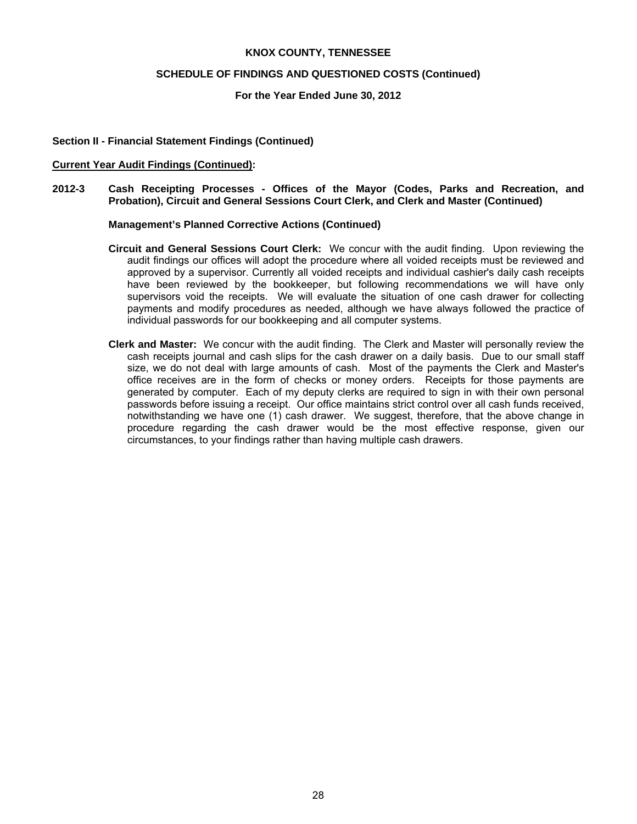#### **SCHEDULE OF FINDINGS AND QUESTIONED COSTS (Continued)**

#### **For the Year Ended June 30, 2012**

### **Section II - Financial Statement Findings (Continued)**

#### **Current Year Audit Findings (Continued):**

**2012-3 Cash Receipting Processes - Offices of the Mayor (Codes, Parks and Recreation, and Probation), Circuit and General Sessions Court Clerk, and Clerk and Master (Continued)** 

#### **Management's Planned Corrective Actions (Continued)**

- **Circuit and General Sessions Court Clerk:** We concur with the audit finding. Upon reviewing the audit findings our offices will adopt the procedure where all voided receipts must be reviewed and approved by a supervisor. Currently all voided receipts and individual cashier's daily cash receipts have been reviewed by the bookkeeper, but following recommendations we will have only supervisors void the receipts. We will evaluate the situation of one cash drawer for collecting payments and modify procedures as needed, although we have always followed the practice of individual passwords for our bookkeeping and all computer systems.
- **Clerk and Master:** We concur with the audit finding. The Clerk and Master will personally review the cash receipts journal and cash slips for the cash drawer on a daily basis. Due to our small staff size, we do not deal with large amounts of cash. Most of the payments the Clerk and Master's office receives are in the form of checks or money orders. Receipts for those payments are generated by computer. Each of my deputy clerks are required to sign in with their own personal passwords before issuing a receipt. Our office maintains strict control over all cash funds received, notwithstanding we have one (1) cash drawer. We suggest, therefore, that the above change in procedure regarding the cash drawer would be the most effective response, given our circumstances, to your findings rather than having multiple cash drawers.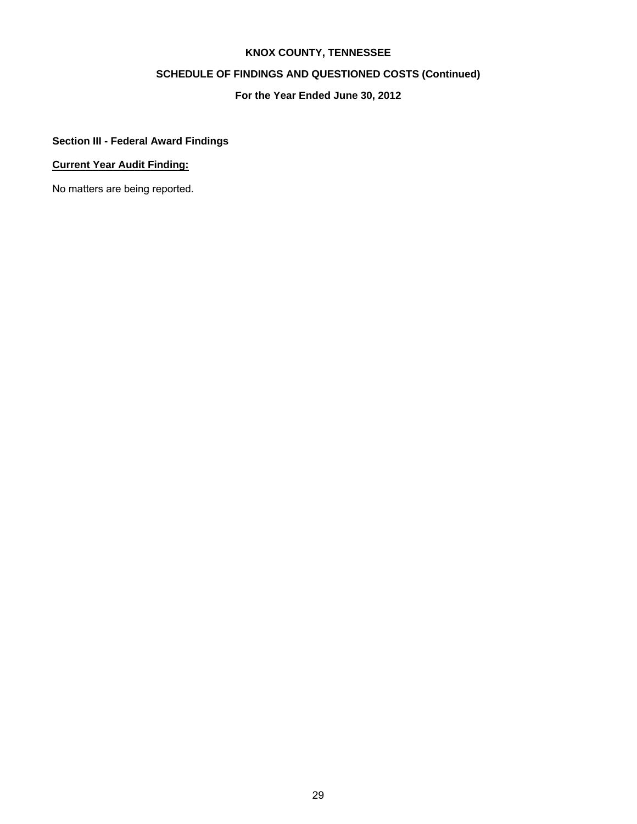# **SCHEDULE OF FINDINGS AND QUESTIONED COSTS (Continued)**

# **For the Year Ended June 30, 2012**

# **Section III - Federal Award Findings**

# **Current Year Audit Finding:**

No matters are being reported.